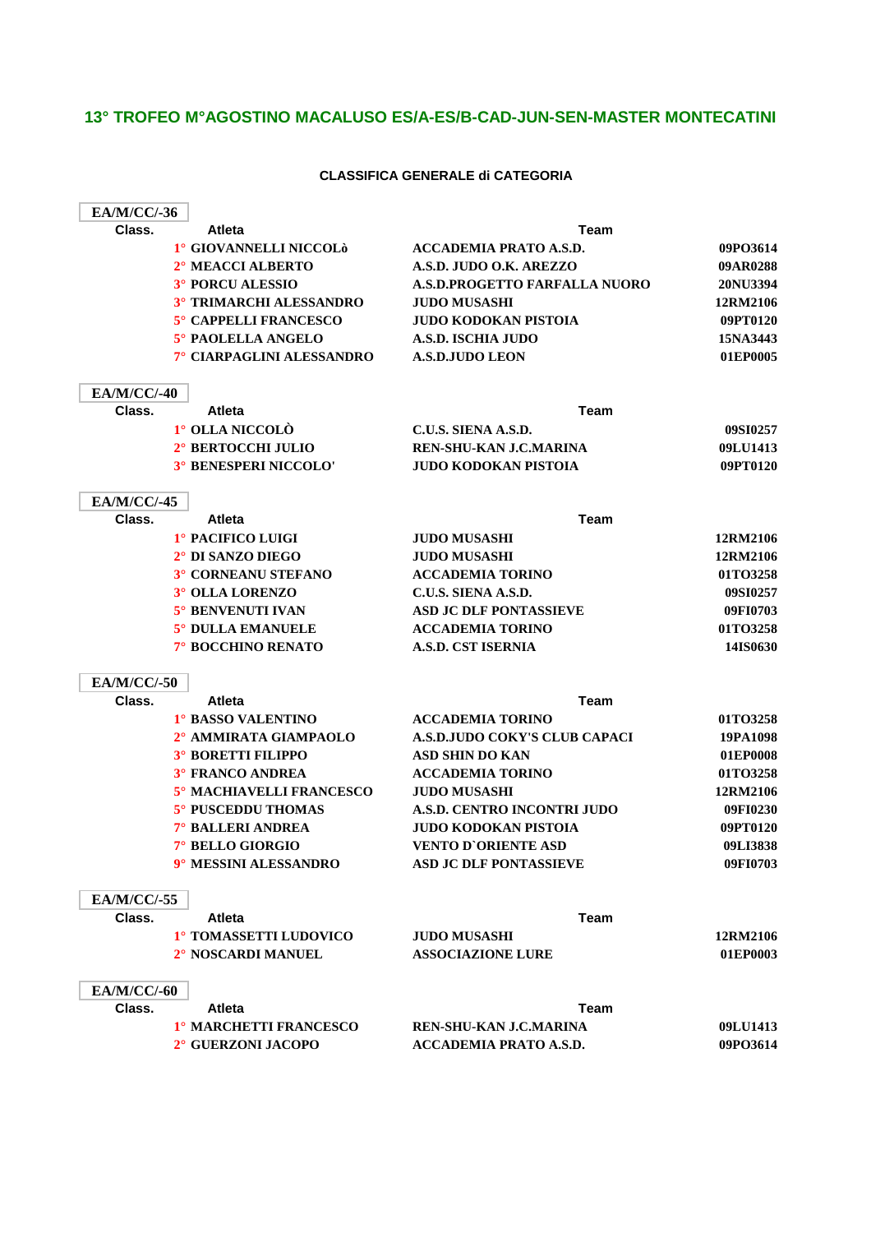### **13° TROFEO M°AGOSTINO MACALUSO ES/A-ES/B-CAD-JUN-SEN-MASTER MONTECATINI**

### **CLASSIFICA GENERALE di CATEGORIA**

| <b>EA/M/CC/-36</b> |                                |                                      |          |
|--------------------|--------------------------------|--------------------------------------|----------|
| Class.             | <b>Atleta</b>                  | Team                                 |          |
|                    | 1° GIOVANNELLI NICCOLÒ         | <b>ACCADEMIA PRATO A.S.D.</b>        | 09PO3614 |
|                    | 2° MEACCI ALBERTO              | A.S.D. JUDO O.K. AREZZO              | 09AR0288 |
|                    | 3° PORCU ALESSIO               | <b>A.S.D.PROGETTO FARFALLA NUORO</b> | 20NU3394 |
|                    | <b>3° TRIMARCHI ALESSANDRO</b> | <b>JUDO MUSASHI</b>                  | 12RM2106 |
|                    | 5° CAPPELLI FRANCESCO          | JUDO KODOKAN PISTOIA                 | 09PT0120 |
|                    | 5° PAOLELLA ANGELO             | <b>A.S.D. ISCHIA JUDO</b>            | 15NA3443 |
|                    | 7° CIARPAGLINI ALESSANDRO      | <b>A.S.D.JUDO LEON</b>               | 01EP0005 |
| <b>EA/M/CC/-40</b> |                                |                                      |          |
| Class.             | <b>Atleta</b>                  | <b>Team</b>                          |          |
|                    | 1° OLLA NICCOLÒ                | C.U.S. SIENA A.S.D.                  | 09SI0257 |
|                    | 2° BERTOCCHI JULIO             | REN-SHU-KAN J.C.MARINA               | 09LU1413 |
|                    | <b>3° BENESPERI NICCOLO'</b>   | JUDO KODOKAN PISTOIA                 | 09PT0120 |
| <b>EA/M/CC/-45</b> |                                |                                      |          |
| Class.             | <b>Atleta</b>                  | <b>Team</b>                          |          |
|                    | 1° PACIFICO LUIGI              | <b>JUDO MUSASHI</b>                  | 12RM2106 |
|                    | 2° DI SANZO DIEGO              | <b>JUDO MUSASHI</b>                  | 12RM2106 |
|                    | 3° CORNEANU STEFANO            | <b>ACCADEMIA TORINO</b>              | 01TO3258 |
|                    | 3° OLLA LORENZO                | C.U.S. SIENA A.S.D.                  | 09SI0257 |
|                    | <b>5° BENVENUTI IVAN</b>       | <b>ASD JC DLF PONTASSIEVE</b>        | 09FI0703 |
|                    | 5° DULLA EMANUELE              | <b>ACCADEMIA TORINO</b>              | 01TO3258 |
|                    | 7° BOCCHINO RENATO             | <b>A.S.D. CST ISERNIA</b>            | 14IS0630 |
| <b>EA/M/CC/-50</b> |                                |                                      |          |
| Class.             | <b>Atleta</b>                  | Team                                 |          |
|                    | 1° BASSO VALENTINO             | <b>ACCADEMIA TORINO</b>              | 01TO3258 |
|                    | 2° AMMIRATA GIAMPAOLO          | <b>A.S.D.JUDO COKY'S CLUB CAPACI</b> | 19PA1098 |
|                    | <b>3° BORETTI FILIPPO</b>      | <b>ASD SHIN DO KAN</b>               | 01EP0008 |
|                    | <b>3° FRANCO ANDREA</b>        | <b>ACCADEMIA TORINO</b>              | 01TO3258 |
|                    | 5° MACHIAVELLI FRANCESCO       | <b>JUDO MUSASHI</b>                  | 12RM2106 |
|                    | 5° PUSCEDDU THOMAS             | A.S.D. CENTRO INCONTRI JUDO          | 09FI0230 |
|                    | 7° BALLERI ANDREA              | <b>JUDO KODOKAN PISTOIA</b>          | 09PT0120 |
|                    | 7° BELLO GIORGIO               | <b>VENTO D'ORIENTE ASD</b>           | 09LI3838 |
|                    | 9° MESSINI ALESSANDRO          | <b>ASD JC DLF PONTASSIEVE</b>        | 09FI0703 |
| <b>EA/M/CC/-55</b> |                                |                                      |          |
| Class.             | <b>Atleta</b>                  | <b>Team</b>                          |          |
|                    | 1° TOMASSETTI LUDOVICO         | <b>JUDO MUSASHI</b>                  | 12RM2106 |
|                    | 2° NOSCARDI MANUEL             | <b>ASSOCIAZIONE LURE</b>             | 01EP0003 |
| <b>EA/M/CC/-60</b> |                                |                                      |          |
| Class.             | <b>Atleta</b>                  | <b>Team</b>                          |          |
|                    | 1º MARCHETTI FRANCESCO         | REN-SHU-KAN J.C.MARINA               | 09LU1413 |
|                    | 2° GUERZONI JACOPO             | <b>ACCADEMIA PRATO A.S.D.</b>        | 09PO3614 |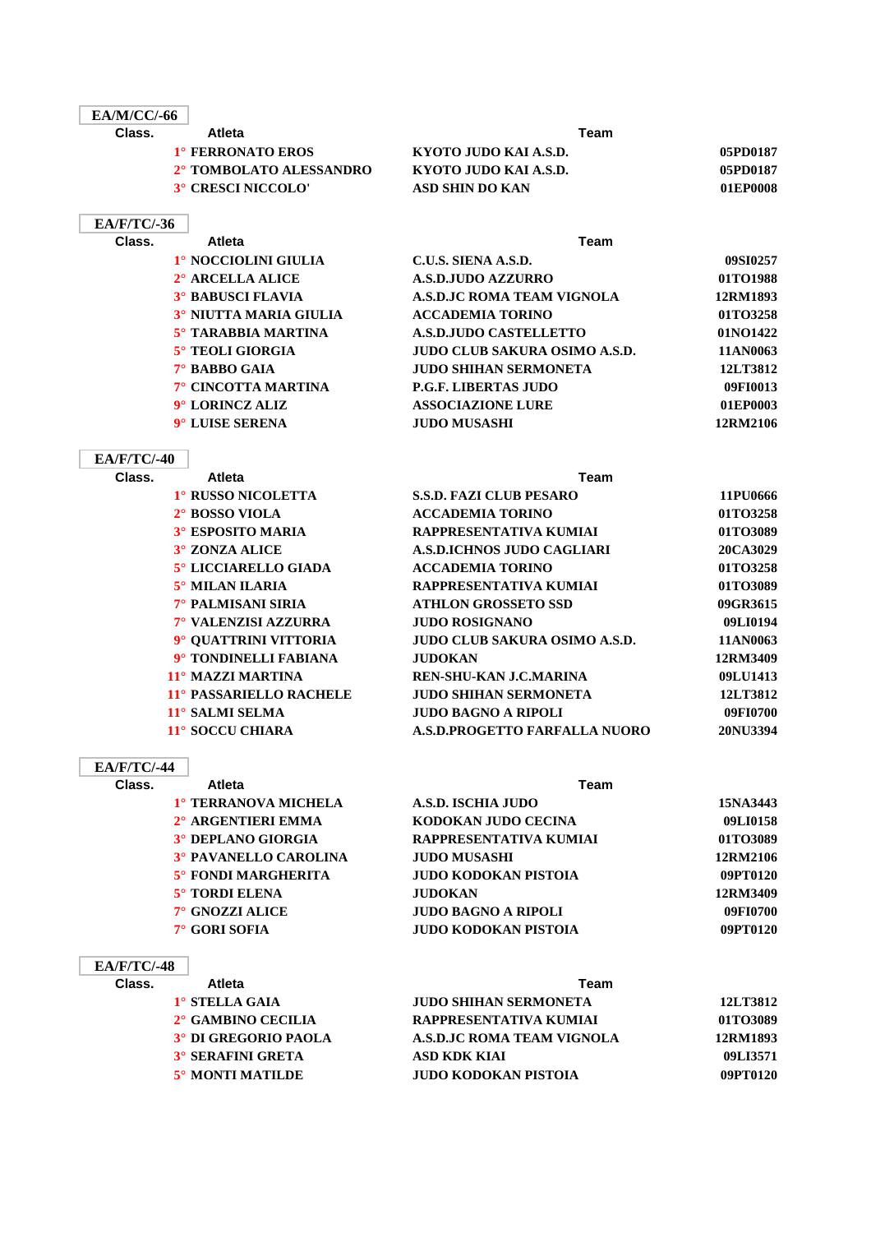| <b>EA/M/CC/-66</b> |                          |                                      |                 |
|--------------------|--------------------------|--------------------------------------|-----------------|
| Class.             | <b>Atleta</b>            | Team                                 |                 |
|                    | 1° FERRONATO EROS        | KYOTO JUDO KAI A.S.D.                | 05PD0187        |
|                    | 2° TOMBOLATO ALESSANDRO  | KYOTO JUDO KAI A.S.D.                | 05PD0187        |
|                    | 3° CRESCI NICCOLO'       | <b>ASD SHIN DO KAN</b>               | 01EP0008        |
| <b>EA/F/TC/-36</b> |                          |                                      |                 |
| Class.             | <b>Atleta</b>            | Team                                 |                 |
|                    | 1° NOCCIOLINI GIULIA     | C.U.S. SIENA A.S.D.                  | 09SI0257        |
|                    | 2° ARCELLA ALICE         | <b>A.S.D.JUDO AZZURRO</b>            | 01TO1988        |
|                    | <b>3° BABUSCI FLAVIA</b> | A.S.D.JC ROMA TEAM VIGNOLA           | 12RM1893        |
|                    | 3° NIUTTA MARIA GIULIA   | <b>ACCADEMIA TORINO</b>              | 01TO3258        |
|                    | 5° TARABBIA MARTINA      | <b>A.S.D.JUDO CASTELLETTO</b>        | 01NO1422        |
|                    | 5° TEOLI GIORGIA         | <b>JUDO CLUB SAKURA OSIMO A.S.D.</b> | 11AN0063        |
|                    | 7° BABBO GAIA            | <b>JUDO SHIHAN SERMONETA</b>         | 12LT3812        |
|                    | 7° CINCOTTA MARTINA      | <b>P.G.F. LIBERTAS JUDO</b>          | 09FI0013        |
|                    | 9° LORINCZ ALIZ          | <b>ASSOCIAZIONE LURE</b>             | 01EP0003        |
|                    | 9° LUISE SERENA          | <b>JUDO MUSASHI</b>                  | 12RM2106        |
| <b>EA/F/TC/-40</b> |                          |                                      |                 |
| Class.             | Atleta                   | Team                                 |                 |
|                    | 1° RUSSO NICOLETTA       | <b>S.S.D. FAZI CLUB PESARO</b>       | 11PU0666        |
|                    | 2° BOSSO VIOLA           | <b>ACCADEMIA TORINO</b>              | 01TO3258        |
|                    | 3° ESPOSITO MARIA        | RAPPRESENTATIVA KUMIAI               | 01TO3089        |
|                    | 3° ZONZA ALICE           | <b>A.S.D.ICHNOS JUDO CAGLIARI</b>    | 20CA3029        |
|                    | 5° LICCIARELLO GIADA     | <b>ACCADEMIA TORINO</b>              | 01TO3258        |
|                    | 5° MILAN ILARIA          | RAPPRESENTATIVA KUMIAI               | 01TO3089        |
|                    | 7° PALMISANI SIRIA       | <b>ATHLON GROSSETO SSD</b>           | 09GR3615        |
|                    | 7° VALENZISI AZZURRA     | <b>JUDO ROSIGNANO</b>                | 09LI0194        |
|                    | 9° QUATTRINI VITTORIA    | <b>JUDO CLUB SAKURA OSIMO A.S.D.</b> | 11AN0063        |
|                    | 9° TONDINELLI FABIANA    | <b>JUDOKAN</b>                       | 12RM3409        |
|                    | 11° MAZZI MARTINA        | REN-SHU-KAN J.C.MARINA               | 09LU1413        |
|                    | 11° PASSARIELLO RACHELE  | <b>JUDO SHIHAN SERMONETA</b>         | 12LT3812        |
|                    | 11° SALMI SELMA          | <b>JUDO BAGNO A RIPOLI</b>           | 09FI0700        |
|                    | 11° SOCCU CHIARA         | A.S.D.PROGETTO FARFALLA NUORO        | <b>20NU3394</b> |
| <b>EA/F/TC/-44</b> |                          |                                      |                 |
| Class.             | <b>Atleta</b>            | <b>Team</b>                          |                 |
|                    | 1° TERRANOVA MICHELA     | A.S.D. ISCHIA JUDO                   | 15NA3443        |
|                    | 2° ARGENTIERI EMMA       | KODOKAN JUDO CECINA                  | 09LI0158        |
|                    | 3° DEPLANO GIORGIA       | RAPPRESENTATIVA KUMIAI               | 01TO3089        |
|                    | 3° PAVANELLO CAROLINA    | <b>JUDO MUSASHI</b>                  | 12RM2106        |
|                    | 5° FONDI MARGHERITA      | <b>JUDO KODOKAN PISTOIA</b>          | 09PT0120        |
|                    | 5° TORDI ELENA           | <b>JUDOKAN</b>                       | 12RM3409        |
|                    | 7° GNOZZI ALICE          | <b>JUDO BAGNO A RIPOLI</b>           | 09FI0700        |
|                    | 7° GORI SOFIA            | <b>JUDO KODOKAN PISTOIA</b>          | 09PT0120        |
| <b>EA/F/TC/-48</b> |                          |                                      |                 |

| Class. | <b>Atleta</b>            | Team                         |          |
|--------|--------------------------|------------------------------|----------|
|        | 1° STELLA GAIA           | <b>JUDO SHIHAN SERMONETA</b> | 12LT3812 |
|        | 2° GAMBINO CECILIA       | RAPPRESENTATIVA KUMIAI       | 01TO3089 |
|        | 3° DI GREGORIO PAOLA     | A.S.D.JC ROMA TEAM VIGNOLA   | 12RM1893 |
|        | <b>3° SERAFINI GRETA</b> | ASD KDK KIAI                 | 09LI3571 |
|        | 5° MONTI MATILDE         | <b>JUDO KODOKAN PISTOIA</b>  | 09PT0120 |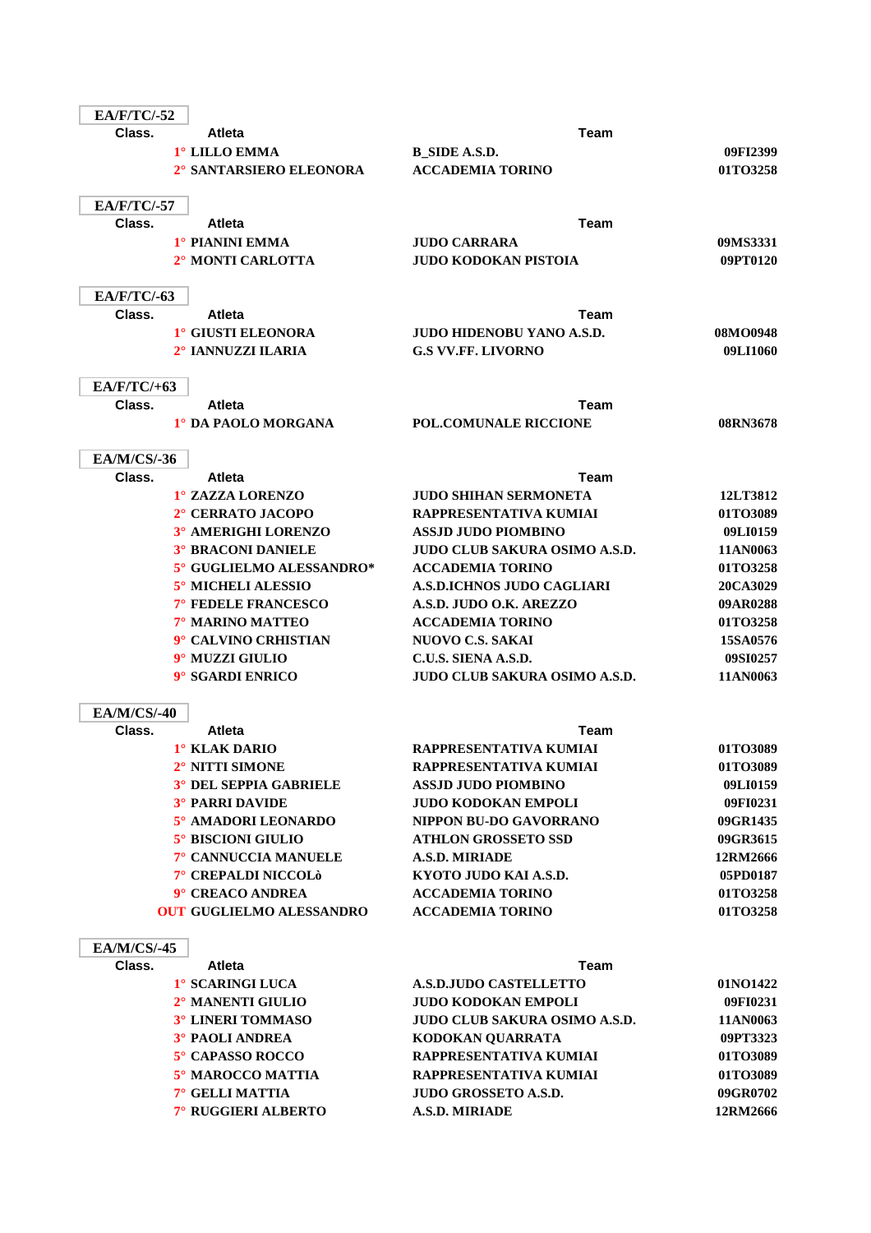| <b>EA/F/TC/-52</b> |                                 |                                      |          |
|--------------------|---------------------------------|--------------------------------------|----------|
| Class.             | <b>Atleta</b>                   | Team                                 |          |
|                    | 1° LILLO EMMA                   | <b>B_SIDE A.S.D.</b>                 | 09FI2399 |
|                    | 2° SANTARSIERO ELEONORA         | <b>ACCADEMIA TORINO</b>              | 01TO3258 |
|                    |                                 |                                      |          |
| <b>EA/F/TC/-57</b> |                                 |                                      |          |
| Class.             | <b>Atleta</b>                   | Team                                 |          |
|                    | 1° PIANINI EMMA                 | <b>JUDO CARRARA</b>                  | 09MS3331 |
|                    | 2° MONTI CARLOTTA               | <b>JUDO KODOKAN PISTOIA</b>          | 09PT0120 |
| <b>EA/F/TC/-63</b> |                                 |                                      |          |
| Class.             | <b>Atleta</b>                   | Team                                 |          |
|                    | 1° GIUSTI ELEONORA              | <b>JUDO HIDENOBU YANO A.S.D.</b>     | 08MO0948 |
|                    | 2° IANNUZZI ILARIA              | <b>G.S VV.FF. LIVORNO</b>            | 09LI1060 |
| $EA/F/TC/+63$      |                                 |                                      |          |
| Class.             | <b>Atleta</b>                   | Team                                 |          |
|                    | 1° DA PAOLO MORGANA             | POL.COMUNALE RICCIONE                | 08RN3678 |
|                    |                                 |                                      |          |
| <b>EA/M/CS/-36</b> |                                 |                                      |          |
| Class.             | <b>Atleta</b>                   | Team                                 |          |
|                    | 1° ZAZZA LORENZO                | <b>JUDO SHIHAN SERMONETA</b>         | 12LT3812 |
|                    | 2° CERRATO JACOPO               | RAPPRESENTATIVA KUMIAI               | 01TO3089 |
|                    | 3° AMERIGHI LORENZO             | ASSJD JUDO PIOMBINO                  | 09LI0159 |
|                    | <b>3° BRACONI DANIELE</b>       | <b>JUDO CLUB SAKURA OSIMO A.S.D.</b> | 11AN0063 |
|                    | 5° GUGLIELMO ALESSANDRO*        | <b>ACCADEMIA TORINO</b>              | 01TO3258 |
|                    | 5° MICHELI ALESSIO              | <b>A.S.D.ICHNOS JUDO CAGLIARI</b>    | 20CA3029 |
|                    | 7° FEDELE FRANCESCO             | A.S.D. JUDO O.K. AREZZO              | 09AR0288 |
|                    | 7° MARINO MATTEO                | <b>ACCADEMIA TORINO</b>              | 01TO3258 |
|                    | 9° CALVINO CRHISTIAN            | <b>NUOVO C.S. SAKAI</b>              | 15SA0576 |
|                    | 9° MUZZI GIULIO                 | C.U.S. SIENA A.S.D.                  | 09SI0257 |
|                    | 9° SGARDI ENRICO                | <b>JUDO CLUB SAKURA OSIMO A.S.D.</b> | 11AN0063 |
| <b>EA/M/CS/-40</b> |                                 |                                      |          |
| Class.             | <b>Atleta</b>                   | Team                                 |          |
|                    | 1° KLAK DARIO                   | RAPPRESENTATIVA KUMIAI               | 01TO3089 |
|                    | 2° NITTI SIMONE                 | RAPPRESENTATIVA KUMIAI               | 01TO3089 |
|                    | 3° DEL SEPPIA GABRIELE          | <b>ASSJD JUDO PIOMBINO</b>           | 09LI0159 |
|                    | <b>3° PARRI DAVIDE</b>          | <b>JUDO KODOKAN EMPOLI</b>           | 09FI0231 |
|                    | 5° AMADORI LEONARDO             | NIPPON BU-DO GAVORRANO               | 09GR1435 |
|                    | 5° BISCIONI GIULIO              | <b>ATHLON GROSSETO SSD</b>           | 09GR3615 |
|                    | 7° CANNUCCIA MANUELE            | A.S.D. MIRIADE                       | 12RM2666 |
|                    | 7° CREPALDI NICCOLÒ             | KYOTO JUDO KAI A.S.D.                | 05PD0187 |
|                    | 9° CREACO ANDREA                | <b>ACCADEMIA TORINO</b>              | 01TO3258 |
|                    | <b>OUT GUGLIELMO ALESSANDRO</b> | <b>ACCADEMIA TORINO</b>              | 01TO3258 |
| <b>EA/M/CS/-45</b> |                                 |                                      |          |
| Class.             | <b>Atleta</b>                   | Team                                 |          |
|                    | 1° SCARINGI LUCA                | <b>A.S.D.JUDO CASTELLETTO</b>        | 01NO1422 |
|                    | 2° MANENTI GIULIO               | <b>JUDO KODOKAN EMPOLI</b>           | 09FI0231 |
|                    | 3° LINERI TOMMASO               | JUDO CLUB SAKURA OSIMO A.S.D.        | 11AN0063 |
|                    | <b>3° PAOLI ANDREA</b>          | KODOKAN QUARRATA                     | 09PT3323 |
|                    | 5° CAPASSO ROCCO                | RAPPRESENTATIVA KUMIAI               | 01TO3089 |
|                    | 5° MAROCCO MATTIA               | RAPPRESENTATIVA KUMIAI               | 01TO3089 |
|                    | 7° GELLI MATTIA                 | JUDO GROSSETO A.S.D.                 | 09GR0702 |
|                    | 7° RUGGIERI ALBERTO             | A.S.D. MIRIADE                       | 12RM2666 |
|                    |                                 |                                      |          |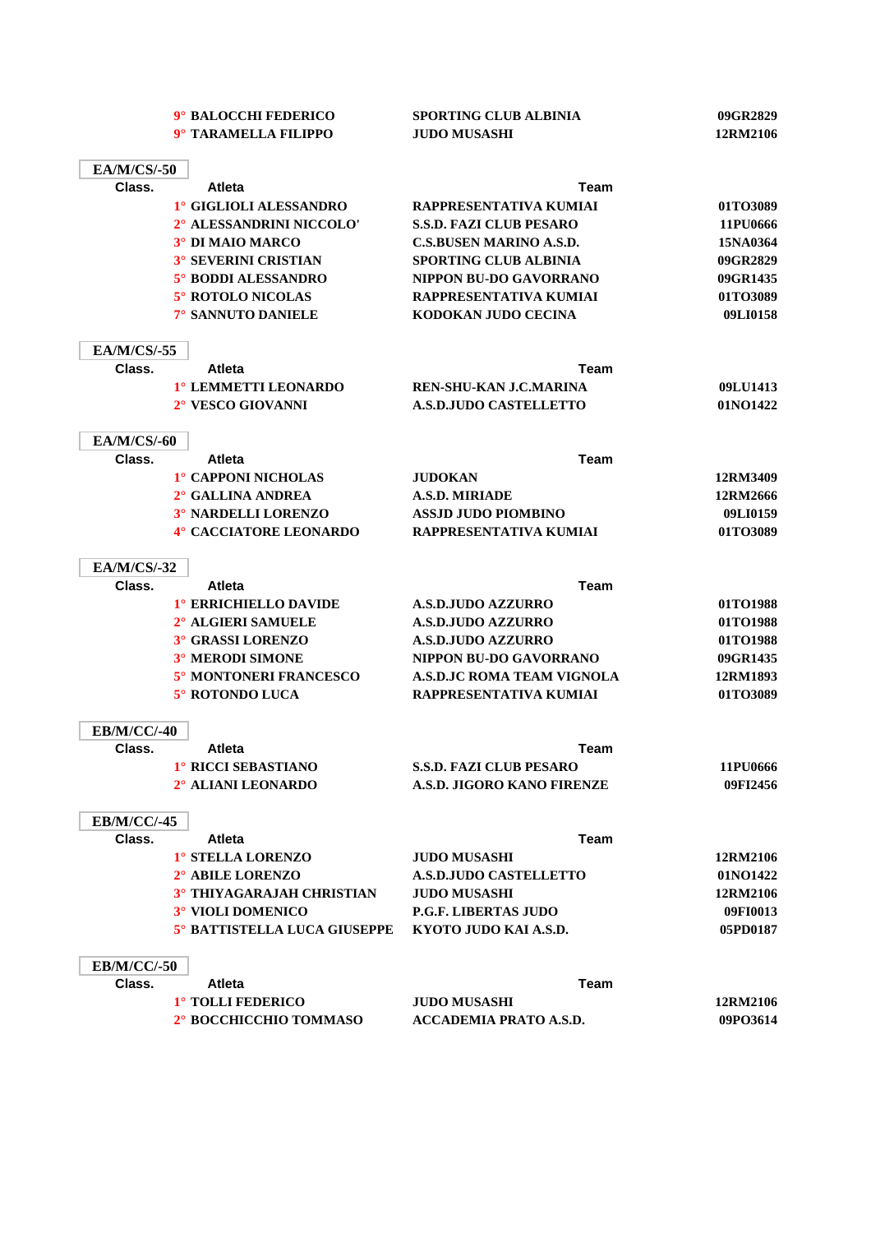|                              | 9° BALOCCHI FEDERICO                      | <b>SPORTING CLUB ALBINIA</b>                                 | 09GR2829             |
|------------------------------|-------------------------------------------|--------------------------------------------------------------|----------------------|
|                              | 9° TARAMELLA FILIPPO                      | <b>JUDO MUSASHI</b>                                          | 12RM2106             |
| <b>EA/M/CS/-50</b>           |                                           |                                                              |                      |
| Class.                       | <b>Atleta</b>                             | <b>Team</b>                                                  |                      |
|                              | 1° GIGLIOLI ALESSANDRO                    | RAPPRESENTATIVA KUMIAI                                       | 01TO3089             |
|                              | 2° ALESSANDRINI NICCOLO'                  | <b>S.S.D. FAZI CLUB PESARO</b>                               | 11PU0666             |
|                              | <b>3° DI MAIO MARCO</b>                   | <b>C.S.BUSEN MARINO A.S.D.</b>                               | 15NA0364             |
|                              | <b>3° SEVERINI CRISTIAN</b>               | <b>SPORTING CLUB ALBINIA</b>                                 | 09GR2829             |
|                              | 5° BODDI ALESSANDRO                       | NIPPON BU-DO GAVORRANO                                       | 09GR1435             |
|                              | 5° ROTOLO NICOLAS                         | RAPPRESENTATIVA KUMIAI                                       | 01TO3089             |
|                              | 7° SANNUTO DANIELE                        | KODOKAN JUDO CECINA                                          | 09LI0158             |
| <b>EA/M/CS/-55</b>           |                                           |                                                              |                      |
| Class.                       | <b>Atleta</b>                             | Team                                                         |                      |
|                              | 1° LEMMETTI LEONARDO                      | REN-SHU-KAN J.C.MARINA                                       | 09LU1413             |
|                              | 2° VESCO GIOVANNI                         | <b>A.S.D.JUDO CASTELLETTO</b>                                | 01NO1422             |
| <b>EA/M/CS/-60</b>           |                                           |                                                              |                      |
| Class.                       | <b>Atleta</b>                             | Team                                                         |                      |
|                              | 1° CAPPONI NICHOLAS                       | <b>JUDOKAN</b>                                               | 12RM3409             |
|                              | 2° GALLINA ANDREA                         | <b>A.S.D. MIRIADE</b>                                        | 12RM2666             |
|                              | 3° NARDELLI LORENZO                       | <b>ASSJD JUDO PIOMBINO</b>                                   | 09LI0159             |
|                              | 4° CACCIATORE LEONARDO                    | RAPPRESENTATIVA KUMIAI                                       | 01TO3089             |
| <b>EA/M/CS/-32</b>           |                                           |                                                              |                      |
| Class.                       | <b>Atleta</b>                             | <b>Team</b>                                                  |                      |
|                              | 1° ERRICHIELLO DAVIDE                     | <b>A.S.D.JUDO AZZURRO</b>                                    | 01TO1988             |
|                              | 2° ALGIERI SAMUELE                        | <b>A.S.D.JUDO AZZURRO</b>                                    | 01TO1988             |
|                              | 3° GRASSI LORENZO                         | <b>A.S.D.JUDO AZZURRO</b>                                    | 01TO1988             |
|                              | 3° MERODI SIMONE                          | NIPPON BU-DO GAVORRANO                                       | 09GR1435             |
|                              | 5° MONTONERI FRANCESCO                    | <b>A.S.D.JC ROMA TEAM VIGNOLA</b>                            | 12RM1893             |
|                              | 5° ROTONDO LUCA                           | RAPPRESENTATIVA KUMIAI                                       | 01TO3089             |
| <b>EB/M/CC/-40</b>           |                                           |                                                              |                      |
| Class.                       | <b>Atleta</b>                             | Team                                                         |                      |
|                              | 1° RICCI SEBASTIANO<br>2° ALIANI LEONARDO | <b>S.S.D. FAZI CLUB PESARO</b><br>A.S.D. JIGORO KANO FIRENZE | 11PU0666<br>09FI2456 |
|                              |                                           |                                                              |                      |
| <b>EB/M/CC/-45</b><br>Class. | <b>Atleta</b>                             | <b>Team</b>                                                  |                      |
|                              | 1° STELLA LORENZO                         | <b>JUDO MUSASHI</b>                                          | 12RM2106             |
|                              | 2° ABILE LORENZO                          | <b>A.S.D.JUDO CASTELLETTO</b>                                | 01NO1422             |
|                              | <b>3° THIYAGARAJAH CHRISTIAN</b>          | <b>JUDO MUSASHI</b>                                          | 12RM2106             |
|                              | 3° VIOLI DOMENICO                         | <b>P.G.F. LIBERTAS JUDO</b>                                  | 09FI0013             |
|                              | 5° BATTISTELLA LUCA GIUSEPPE              | KYOTO JUDO KAI A.S.D.                                        | 05PD0187             |
| <b>EB/M/CC/-50</b>           |                                           |                                                              |                      |
| Class.                       | <b>Atleta</b>                             | Team                                                         |                      |
|                              | 1° TOLLI FEDERICO                         | <b>JUDO MUSASHI</b>                                          | 12RM2106             |
|                              | 2° BOCCHICCHIO TOMMASO                    | <b>ACCADEMIA PRATO A.S.D.</b>                                | 09PO3614             |
|                              |                                           |                                                              |                      |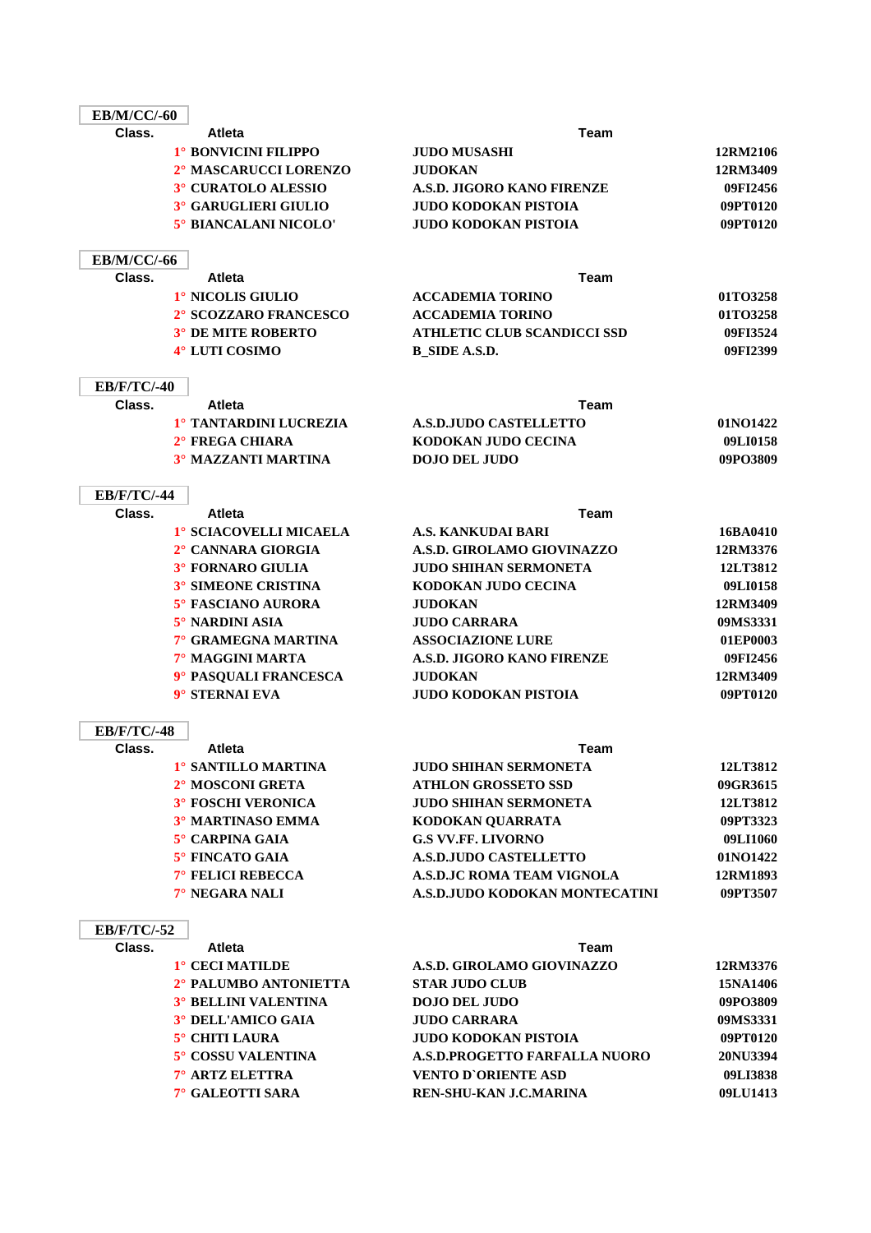| <b>EB/M/CC/-60</b> |                                         |                                    |          |
|--------------------|-----------------------------------------|------------------------------------|----------|
| Class.             | <b>Atleta</b>                           | <b>Team</b>                        |          |
|                    | 1° BONVICINI FILIPPO                    | <b>JUDO MUSASHI</b>                | 12RM2106 |
|                    | 2° MASCARUCCI LORENZO                   | <b>JUDOKAN</b>                     | 12RM3409 |
|                    | 3° CURATOLO ALESSIO                     | A.S.D. JIGORO KANO FIRENZE         | 09FI2456 |
|                    | 3° GARUGLIERI GIULIO                    | JUDO KODOKAN PISTOIA               | 09PT0120 |
|                    | 5° BIANCALANI NICOLO'                   | JUDO KODOKAN PISTOIA               | 09PT0120 |
|                    |                                         |                                    |          |
| <b>EB/M/CC/-66</b> |                                         |                                    |          |
| Class.             | <b>Atleta</b>                           | <b>Team</b>                        |          |
|                    | 1° NICOLIS GIULIO                       | <b>ACCADEMIA TORINO</b>            | 01TO3258 |
|                    | 2° SCOZZARO FRANCESCO                   | <b>ACCADEMIA TORINO</b>            | 01TO3258 |
|                    | <b>3° DE MITE ROBERTO</b>               | <b>ATHLETIC CLUB SCANDICCI SSD</b> | 09FI3524 |
|                    | 4° LUTI COSIMO                          | <b>B_SIDE A.S.D.</b>               | 09FI2399 |
|                    |                                         |                                    |          |
| <b>EB/F/TC/-40</b> |                                         |                                    |          |
| Class.             | <b>Atleta</b>                           | Team                               |          |
|                    | 1° TANTARDINI LUCREZIA                  | <b>A.S.D.JUDO CASTELLETTO</b>      | 01NO1422 |
|                    | 2° FREGA CHIARA                         | KODOKAN JUDO CECINA                | 09LI0158 |
|                    | <b>3° MAZZANTI MARTINA</b>              | <b>DOJO DEL JUDO</b>               | 09PO3809 |
|                    |                                         |                                    |          |
| <b>EB/F/TC/-44</b> |                                         |                                    |          |
| Class.             | <b>Atleta</b>                           | <b>Team</b>                        |          |
|                    | 1° SCIACOVELLI MICAELA                  | A.S. KANKUDAI BARI                 | 16BA0410 |
|                    | 2° CANNARA GIORGIA                      | A.S.D. GIROLAMO GIOVINAZZO         | 12RM3376 |
|                    | 3° FORNARO GIULIA                       | <b>JUDO SHIHAN SERMONETA</b>       | 12LT3812 |
|                    | <b>3° SIMEONE CRISTINA</b>              | KODOKAN JUDO CECINA                | 09LI0158 |
|                    | 5° FASCIANO AURORA                      | <b>JUDOKAN</b>                     | 12RM3409 |
|                    | 5° NARDINI ASIA                         | <b>JUDO CARRARA</b>                | 09MS3331 |
|                    | 7° GRAMEGNA MARTINA                     | <b>ASSOCIAZIONE LURE</b>           | 01EP0003 |
|                    | 7° MAGGINI MARTA                        | A.S.D. JIGORO KANO FIRENZE         | 09FI2456 |
|                    | 9° PASQUALI FRANCESCA<br>9° STERNAI EVA | <b>JUDOKAN</b>                     | 12RM3409 |
|                    |                                         | JUDO KODOKAN PISTOIA               | 09PT0120 |
| <b>EB/F/TC/-48</b> |                                         |                                    |          |
| Class.             | <b>Atleta</b>                           | Team                               |          |
|                    | 1° SANTILLO MARTINA                     | <b>JUDO SHIHAN SERMONETA</b>       | 12LT3812 |
|                    | 2° MOSCONI GRETA                        | <b>ATHLON GROSSETO SSD</b>         | 09GR3615 |
|                    | <b>3° FOSCHI VERONICA</b>               | <b>JUDO SHIHAN SERMONETA</b>       | 12LT3812 |
|                    | 3° MARTINASO EMMA                       | KODOKAN QUARRATA                   | 09PT3323 |
|                    | 5° CARPINA GAIA                         | <b>G.S VV.FF. LIVORNO</b>          | 09LI1060 |
|                    | 5° FINCATO GAIA                         | <b>A.S.D.JUDO CASTELLETTO</b>      | 01NO1422 |
|                    | 7° FELICI REBECCA                       | A.S.D.JC ROMA TEAM VIGNOLA         | 12RM1893 |
|                    | 7° NEGARA NALI                          | A.S.D.JUDO KODOKAN MONTECATINI     | 09PT3507 |
|                    |                                         |                                    |          |
| <b>EB/F/TC/-52</b> |                                         |                                    |          |
| Class.             | Atleta                                  | <b>Team</b>                        |          |
|                    | 1° CECI MATILDE                         | A.S.D. GIROLAMO GIOVINAZZO         | 12RM3376 |
|                    | 2° PALUMBO ANTONIETTA                   | <b>STAR JUDO CLUB</b>              | 15NA1406 |
|                    | <b>3° BELLINI VALENTINA</b>             | <b>DOJO DEL JUDO</b>               | 09PO3809 |
|                    | 3° DELL'AMICO GAIA                      | <b>JUDO CARRARA</b>                | 09MS3331 |
|                    | 5° CHITI LAURA                          | <b>JUDO KODOKAN PISTOIA</b>        | 09PT0120 |
|                    | 5° COSSU VALENTINA                      | A.S.D.PROGETTO FARFALLA NUORO      | 20NU3394 |
|                    | 7° ARTZ ELETTRA                         | <b>VENTO D'ORIENTE ASD</b>         | 09LI3838 |
|                    | 7° GALEOTTI SARA                        | REN-SHU-KAN J.C.MARINA             | 09LU1413 |

and the control of the control of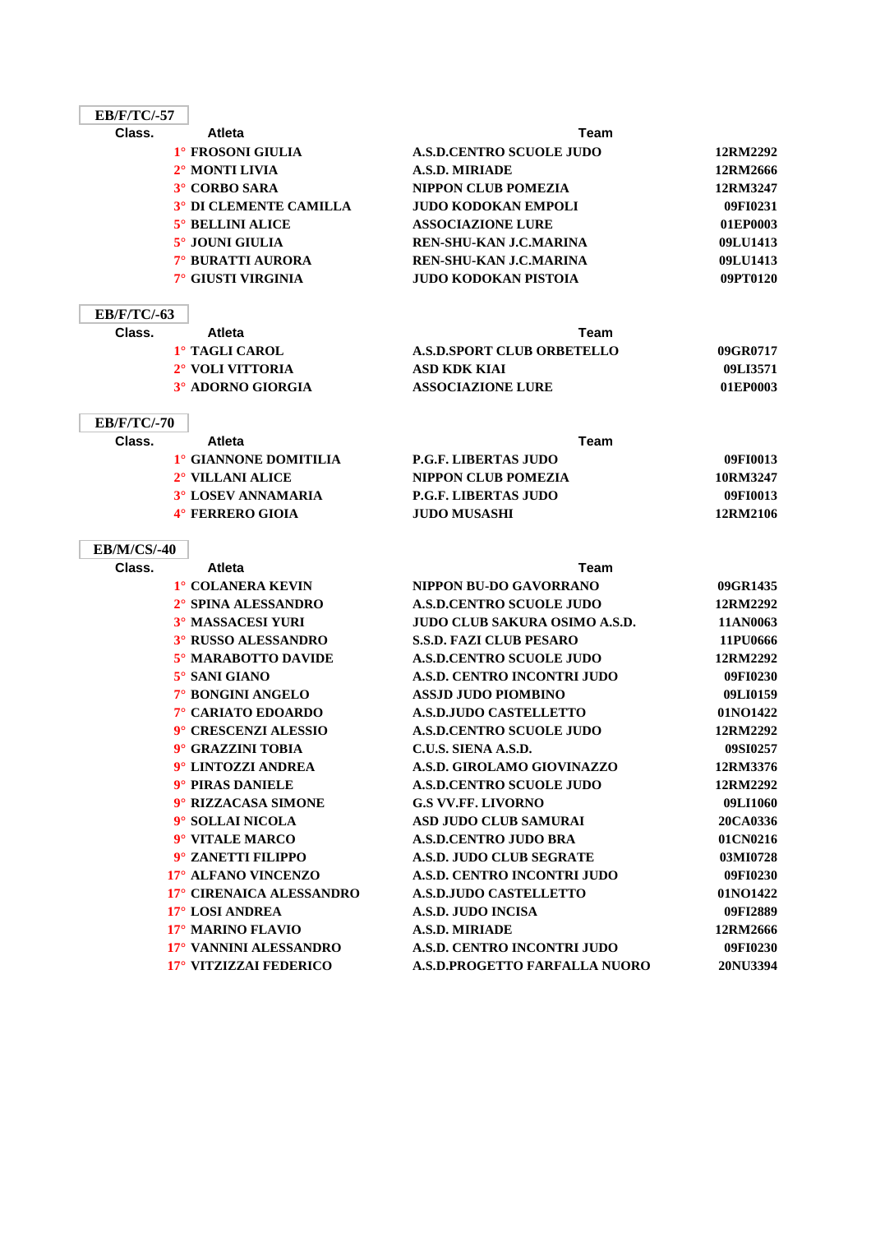| <b>EB/F/TC/-57</b> |                                   |                                      |          |
|--------------------|-----------------------------------|--------------------------------------|----------|
| Class.             | <b>Atleta</b>                     | Team                                 |          |
|                    | 1° FROSONI GIULIA                 | <b>A.S.D.CENTRO SCUOLE JUDO</b>      | 12RM2292 |
|                    | 2° MONTI LIVIA                    | <b>A.S.D. MIRIADE</b>                | 12RM2666 |
|                    | 3° CORBO SARA                     | <b>NIPPON CLUB POMEZIA</b>           | 12RM3247 |
|                    | <sup>3°</sup> DI CLEMENTE CAMILLA | <b>JUDO KODOKAN EMPOLI</b>           | 09FI0231 |
|                    | <b>5° BELLINI ALICE</b>           | <b>ASSOCIAZIONE LURE</b>             | 01EP0003 |
|                    | 5° JOUNI GIULIA                   | REN-SHU-KAN J.C.MARINA               | 09LU1413 |
|                    | 7° BURATTI AURORA                 | REN-SHU-KAN J.C.MARINA               | 09LU1413 |
|                    | 7° GIUSTI VIRGINIA                | <b>JUDO KODOKAN PISTOIA</b>          | 09PT0120 |
| <b>EB/F/TC/-63</b> |                                   |                                      |          |
| Class.             | <b>Atleta</b>                     | Team                                 |          |
|                    | 1° TAGLI CAROL                    | <b>A.S.D.SPORT CLUB ORBETELLO</b>    | 09GR0717 |
|                    | 2° VOLI VITTORIA                  | <b>ASD KDK KIAI</b>                  | 09LI3571 |
|                    | 3° ADORNO GIORGIA                 | <b>ASSOCIAZIONE LURE</b>             | 01EP0003 |
| <b>EB/F/TC/-70</b> |                                   |                                      |          |
| Class.             | <b>Atleta</b>                     | Team                                 |          |
|                    | <sup>1</sup> ° GIANNONE DOMITILIA | <b>P.G.F. LIBERTAS JUDO</b>          | 09FI0013 |
|                    | 2° VILLANI ALICE                  | <b>NIPPON CLUB POMEZIA</b>           | 10RM3247 |
|                    | <b>3° LOSEV ANNAMARIA</b>         | <b>P.G.F. LIBERTAS JUDO</b>          | 09FI0013 |
|                    | 4° FERRERO GIOIA                  | <b>JUDO MUSASHI</b>                  | 12RM2106 |
| <b>EB/M/CS/-40</b> |                                   |                                      |          |
| Class.             | <b>Atleta</b>                     | Team                                 |          |
|                    | 1° COLANERA KEVIN                 | NIPPON BU-DO GAVORRANO               | 09GR1435 |
|                    | 2° SPINA ALESSANDRO               | <b>A.S.D.CENTRO SCUOLE JUDO</b>      | 12RM2292 |
|                    | 3° MASSACESI YURI                 | <b>JUDO CLUB SAKURA OSIMO A.S.D.</b> | 11AN0063 |
|                    | 3° RUSSO ALESSANDRO               | <b>S.S.D. FAZI CLUB PESARO</b>       | 11PU0666 |
|                    | 5° MARABOTTO DAVIDE               | <b>A.S.D.CENTRO SCUOLE JUDO</b>      | 12RM2292 |
|                    | 5° SANI GIANO                     | A.S.D. CENTRO INCONTRI JUDO          | 09FI0230 |
|                    | 7° BONGINI ANGELO                 | <b>ASSJD JUDO PIOMBINO</b>           | 09LI0159 |
|                    | 7° CARIATO EDOARDO                | <b>A.S.D.JUDO CASTELLETTO</b>        | 01NO1422 |
|                    | 9° CRESCENZI ALESSIO              | <b>A.S.D.CENTRO SCUOLE JUDO</b>      | 12RM2292 |
|                    | 9° GRAZZINI TOBIA                 | C.U.S. SIENA A.S.D.                  | 09SI0257 |
|                    | 9° LINTOZZI ANDREA                | A.S.D. GIROLAMO GIOVINAZZO           | 12RM3376 |
|                    | 9° PIRAS DANIELE                  | <b>A.S.D.CENTRO SCUOLE JUDO</b>      | 12RM2292 |
|                    | 9° RIZZACASA SIMONE               | <b>G.S VV.FF. LIVORNO</b>            | 09LI1060 |
|                    | 9° SOLLAI NICOLA                  | <b>ASD JUDO CLUB SAMURAI</b>         | 20CA0336 |
|                    | 9° VITALE MARCO                   | <b>A.S.D.CENTRO JUDO BRA</b>         | 01CN0216 |
|                    | 9° ZANETTI FILIPPO                | <b>A.S.D. JUDO CLUB SEGRATE</b>      | 03MI0728 |
|                    | 17° ALFANO VINCENZO               | A.S.D. CENTRO INCONTRI JUDO          | 09FI0230 |
|                    | 17° CIRENAICA ALESSANDRO          | <b>A.S.D.JUDO CASTELLETTO</b>        | 01NO1422 |
|                    | 17° LOSI ANDREA                   | <b>A.S.D. JUDO INCISA</b>            | 09FI2889 |
|                    | 17° MARINO FLAVIO                 | <b>A.S.D. MIRIADE</b>                | 12RM2666 |
|                    | 17° VANNINI ALESSANDRO            | A.S.D. CENTRO INCONTRI JUDO          | 09FI0230 |
|                    | 17° VITZIZZAI FEDERICO            | A.S.D.PROGETTO FARFALLA NUORO        | 20NU3394 |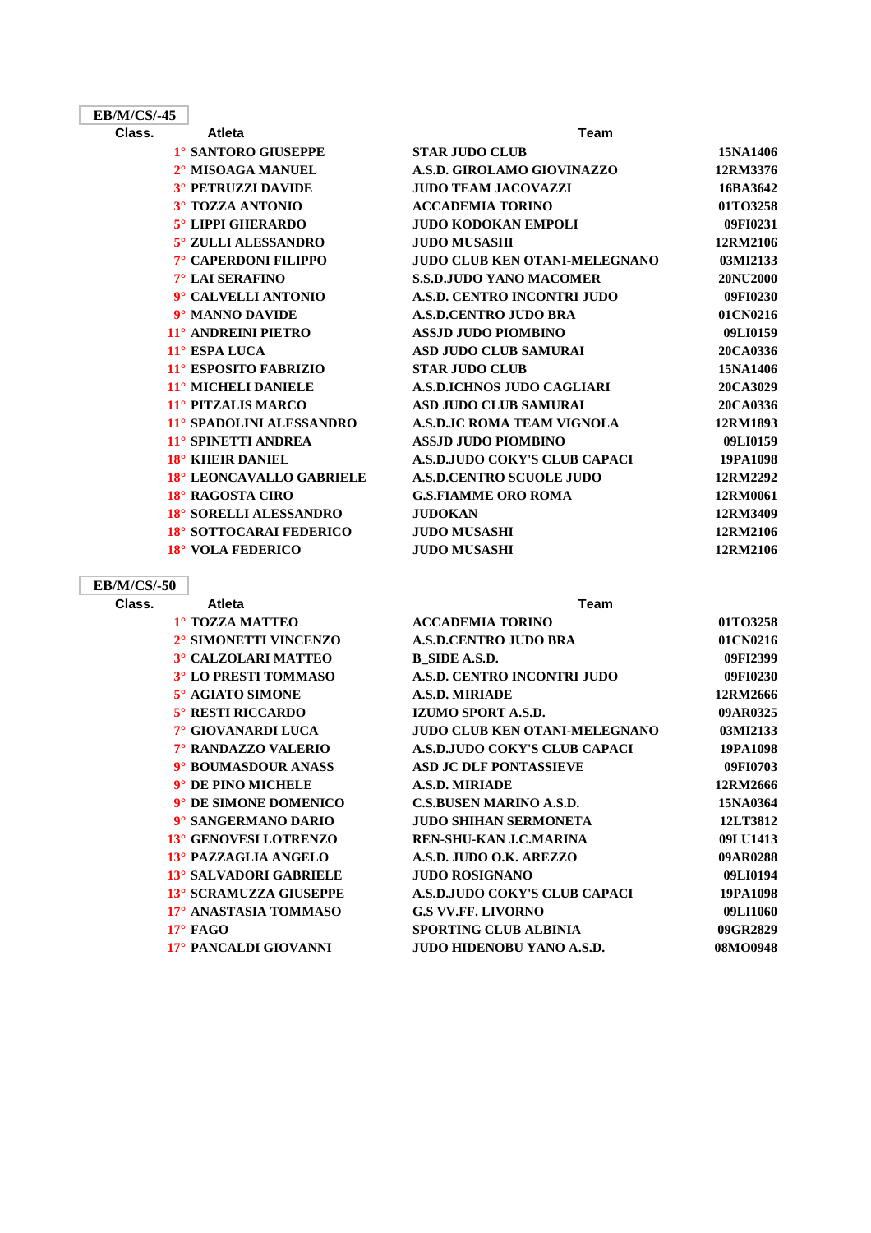| <b>EB/M/CS/-45</b> |                           |                                   |          |
|--------------------|---------------------------|-----------------------------------|----------|
| Class.             | <b>Atleta</b>             | Team                              |          |
|                    | 1° SANTORO GIUSEPPE       | <b>STAR JUDO CLUB</b>             | 15NA1406 |
|                    | 2° MISOAGA MANUEL         | A.S.D. GIROLAMO GIOVINAZZO        | 12RM3376 |
|                    | <b>3° PETRUZZI DAVIDE</b> | <b>JUDO TEAM JACOVAZZI</b>        | 16BA3642 |
|                    | 3° TOZZA ANTONIO          | <b>ACCADEMIA TORINO</b>           | 01TO3258 |
|                    | <b>5° LIPPI GHERARDO</b>  | <b>JUDO KODOKAN EMPOLI</b>        | 09FI0231 |
|                    | 5° ZULLI ALESSANDRO       | <b>JUDO MUSASHI</b>               | 12RM2106 |
|                    | 7° CAPERDONI FILIPPO      | JUDO CLUB KEN OTANI-MELEGNANO     | 03MI2133 |
|                    | 7° LAI SERAFINO           | <b>S.S.D.JUDO YANO MACOMER</b>    | 20NU2000 |
|                    | 9° CALVELLI ANTONIO       | A.S.D. CENTRO INCONTRI JUDO       | 09FI0230 |
|                    | 9° MANNO DAVIDE           | <b>A.S.D.CENTRO JUDO BRA</b>      | 01CN0216 |
|                    | 11° ANDREINI PIETRO       | <b>ASSJD JUDO PIOMBINO</b>        | 09LI0159 |
|                    | 11° ESPA LUCA             | <b>ASD JUDO CLUB SAMURAI</b>      | 20CA0336 |
|                    | 11° ESPOSITO FABRIZIO     | <b>STAR JUDO CLUB</b>             | 15NA1406 |
|                    | 11° MICHELI DANIELE       | <b>A.S.D.ICHNOS JUDO CAGLIARI</b> | 20CA3029 |
|                    | 11° PITZALIS MARCO        | <b>ASD JUDO CLUB SAMURAI</b>      | 20CA0336 |
|                    | 11° SPADOLINI ALESSANDRO  | <b>A.S.D.JC ROMA TEAM VIGNOLA</b> | 12RM1893 |
|                    | 11° SPINETTI ANDREA       | <b>ASSJD JUDO PIOMBINO</b>        | 09LI0159 |
|                    | 18° KHEIR DANIEL          | A.S.D.JUDO COKY'S CLUB CAPACI     | 19PA1098 |
|                    | 18° LEONCAVALLO GABRIELE  | <b>A.S.D.CENTRO SCUOLE JUDO</b>   | 12RM2292 |
|                    | 18° RAGOSTA CIRO          | <b>G.S.FIAMME ORO ROMA</b>        | 12RM0061 |
|                    | 18° SORELLI ALESSANDRO    | <b>JUDOKAN</b>                    | 12RM3409 |
|                    | 18° SOTTOCARAI FEDERICO   | <b>JUDO MUSASHI</b>               | 12RM2106 |
|                    | 18° VOLA FEDERICO         | <b>JUDO MUSASHI</b>               | 12RM2106 |

### **EB/M/CS/-50**

**Class. Atleta Team 1° TOZZA MATTEO 2° SIMONETTI VINCENZO 3° CALZOLARI MATTEO 3° LO PRESTI TOMMASO**  $5^\circ$  **AGIATO SIMONE 5° RESTI RICCARDO 7° GIOVANARDI LUCA 7° RANDAZZO VALERIO 9° BOUMASDOUR ANASS 9° DE PINO MICHELE 9° DE SIMONE DOMENICO 9°** SANGERMANO DARIO **13° GENOVESI LOTRENZO 13° PAZZAGLIA ANGELO 13° SALVADORI GABRIELE 13° SCRAMUZZA GIUSEPPE 17° ANASTASIA TOMMASO** 

| 1° TOZZA MATTEO              | <b>ACCADEMIA TORINO</b>              | 01TO3258 |
|------------------------------|--------------------------------------|----------|
| 2° SIMONETTI VINCENZO        | <b>A.S.D.CENTRO JUDO BRA</b>         | 01CN0216 |
| 3° CALZOLARI MATTEO          | B SIDE A.S.D.                        | 09FI2399 |
| 3° LO PRESTI TOMMASO         | A.S.D. CENTRO INCONTRI JUDO          | 09FI0230 |
| 5° AGIATO SIMONE             | <b>A.S.D. MIRIADE</b>                | 12RM2666 |
| <b>5° RESTI RICCARDO</b>     | <b>IZUMO SPORT A.S.D.</b>            | 09AR0325 |
| 7° GIOVANARDI LUCA           | <b>JUDO CLUB KEN OTANI-MELEGNANO</b> | 03MI2133 |
| 7° RANDAZZO VALERIO          | A.S.D.JUDO COKY'S CLUB CAPACI        | 19PA1098 |
| 9° BOUMASDOUR ANASS          | <b>ASD JC DLF PONTASSIEVE</b>        | 09FI0703 |
| $9^\circ$ DE PINO MICHELE    | <b>A.S.D. MIRIADE</b>                | 12RM2666 |
| 9° DE SIMONE DOMENICO        | <b>C.S.BUSEN MARINO A.S.D.</b>       | 15NA0364 |
| 9° SANGERMANO DARIO          | <b>JUDO SHIHAN SERMONETA</b>         | 12LT3812 |
| <b>13° GENOVESI LOTRENZO</b> | REN-SHU-KAN J.C.MARINA               | 09LU1413 |
| 13° PAZZAGLIA ANGELO         | A.S.D. JUDO O.K. AREZZO              | 09AR0288 |
| 13° SALVADORI GABRIELE       | <b>JUDO ROSIGNANO</b>                | 09LI0194 |
| 13° SCRAMUZZA GIUSEPPE       | A.S.D.JUDO COKY'S CLUB CAPACI        | 19PA1098 |
| 17° ANASTASIA TOMMASO        | <b>G.S VV.FF. LIVORNO</b>            | 09LI1060 |
| $17^\circ$ FAGO              | <b>SPORTING CLUB ALBINIA</b>         | 09GR2829 |
| 17° PANCALDI GIOVANNI        | <b>JUDO HIDENOBU YANO A.S.D.</b>     | 08MO0948 |
|                              |                                      |          |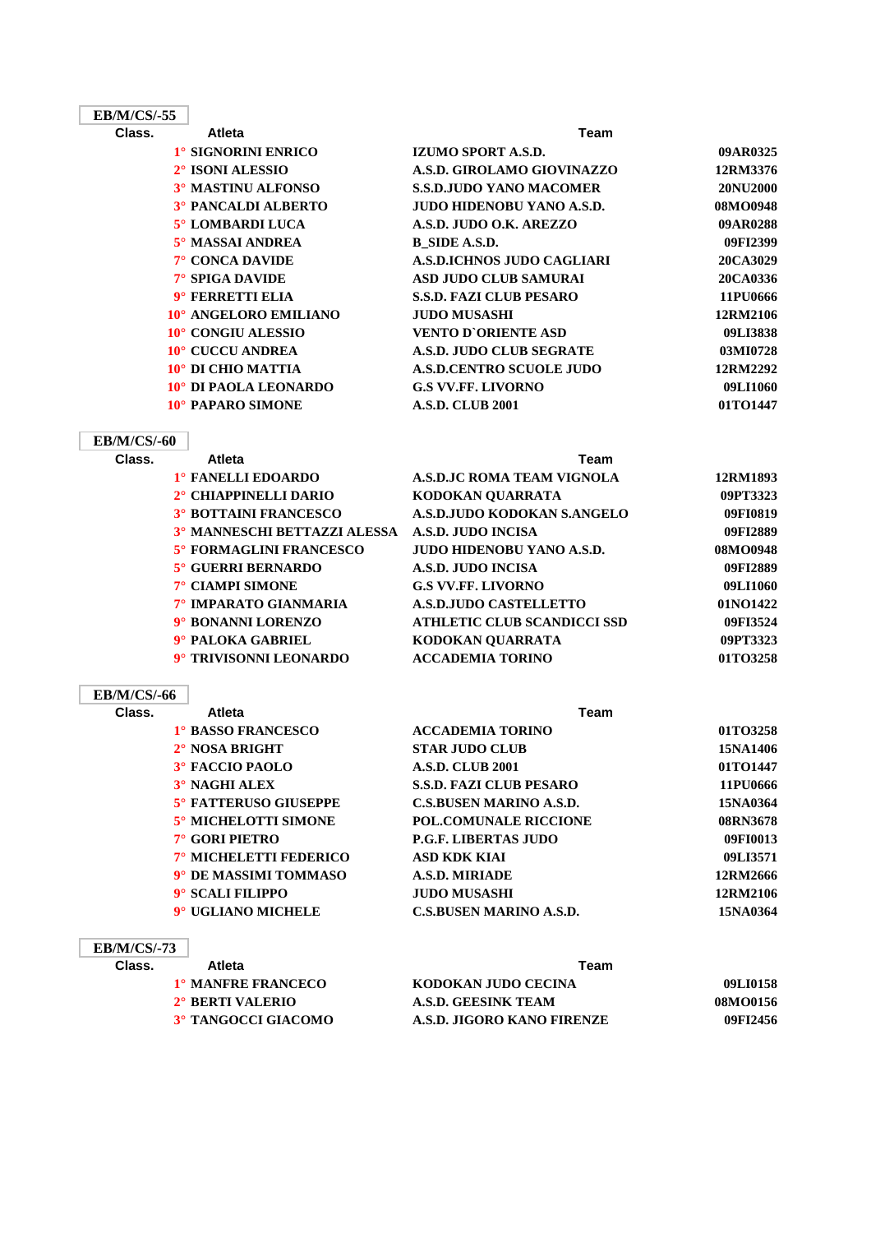| <b>EB/M/CS/-55</b> |                              |                                    |          |
|--------------------|------------------------------|------------------------------------|----------|
| Class.             | <b>Atleta</b>                | Team                               |          |
|                    | 1° SIGNORINI ENRICO          | IZUMO SPORT A.S.D.                 | 09AR0325 |
|                    | 2° ISONI ALESSIO             | A.S.D. GIROLAMO GIOVINAZZO         | 12RM3376 |
|                    | 3° MASTINU ALFONSO           | <b>S.S.D.JUDO YANO MACOMER</b>     | 20NU2000 |
|                    | <b>3º PANCALDI ALBERTO</b>   | <b>JUDO HIDENOBU YANO A.S.D.</b>   | 08MO0948 |
|                    | 5° LOMBARDI LUCA             | A.S.D. JUDO O.K. AREZZO            | 09AR0288 |
|                    | 5° MASSAI ANDREA             | <b>B_SIDE A.S.D.</b>               | 09FI2399 |
|                    | 7° CONCA DAVIDE              | <b>A.S.D.ICHNOS JUDO CAGLIARI</b>  | 20CA3029 |
|                    | 7° SPIGA DAVIDE              | <b>ASD JUDO CLUB SAMURAI</b>       | 20CA0336 |
|                    | 9° FERRETTI ELIA             | <b>S.S.D. FAZI CLUB PESARO</b>     | 11PU0666 |
|                    | 10° ANGELORO EMILIANO        | <b>JUDO MUSASHI</b>                | 12RM2106 |
|                    | 10° CONGIU ALESSIO           | <b>VENTO D'ORIENTE ASD</b>         | 09LI3838 |
|                    | 10° CUCCU ANDREA             | A.S.D. JUDO CLUB SEGRATE           | 03MI0728 |
|                    | 10° DI CHIO MATTIA           | <b>A.S.D.CENTRO SCUOLE JUDO</b>    | 12RM2292 |
|                    | 10° DI PAOLA LEONARDO        | <b>G.S VV.FF. LIVORNO</b>          | 09LI1060 |
|                    | 10° PAPARO SIMONE            | <b>A.S.D. CLUB 2001</b>            | 01TO1447 |
|                    |                              |                                    |          |
| <b>EB/M/CS/-60</b> |                              |                                    |          |
| Class.             | <b>Atleta</b>                | <b>Team</b>                        |          |
|                    | 1° FANELLI EDOARDO           | <b>A.S.D.JC ROMA TEAM VIGNOLA</b>  | 12RM1893 |
|                    | 2° CHIAPPINELLI DARIO        | KODOKAN QUARRATA                   | 09PT3323 |
|                    | <b>3° BOTTAINI FRANCESCO</b> | A.S.D.JUDO KODOKAN S.ANGELO        | 09FI0819 |
|                    | 3° MANNESCHI BETTAZZI ALESSA | A.S.D. JUDO INCISA                 | 09FI2889 |
|                    | 5° FORMAGLINI FRANCESCO      | <b>JUDO HIDENOBU YANO A.S.D.</b>   | 08MO0948 |
|                    | 5° GUERRI BERNARDO           | <b>A.S.D. JUDO INCISA</b>          | 09FI2889 |
|                    | 7° CIAMPI SIMONE             | <b>G.S VV.FF. LIVORNO</b>          | 09LI1060 |
|                    | 7° IMPARATO GIANMARIA        | <b>A.S.D.JUDO CASTELLETTO</b>      | 01NO1422 |
|                    | 9° BONANNI LORENZO           | <b>ATHLETIC CLUB SCANDICCI SSD</b> | 09FI3524 |
|                    | 9° PALOKA GABRIEL            | KODOKAN QUARRATA                   | 09PT3323 |
|                    | 9° TRIVISONNI LEONARDO       | <b>ACCADEMIA TORINO</b>            | 01TO3258 |
| <b>EB/M/CS/-66</b> |                              |                                    |          |
| Class.             | <b>Atleta</b>                | <b>Team</b>                        |          |
|                    | 1° BASSO FRANCESCO           | <b>ACCADEMIA TORINO</b>            | 01TO3258 |
|                    | 2° NOSA BRIGHT               | <b>STAR JUDO CLUB</b>              | 15NA1406 |
|                    | 3° FACCIO PAOLO              | <b>A.S.D. CLUB 2001</b>            | 01TO1447 |
|                    | 3° NAGHI ALEX                | <b>S.S.D. FAZI CLUB PESARO</b>     | 11PU0666 |
|                    | 5° FATTERUSO GIUSEPPE        | <b>C.S.BUSEN MARINO A.S.D.</b>     | 15NA0364 |
|                    | 5° MICHELOTTI SIMONE         | <b>POL.COMUNALE RICCIONE</b>       | 08RN3678 |
|                    | 7° GORI PIETRO               | <b>P.G.F. LIBERTAS JUDO</b>        | 09FI0013 |
|                    | 7° MICHELETTI FEDERICO       | <b>ASD KDK KIAI</b>                | 09LI3571 |
|                    | 9° DE MASSIMI TOMMASO        | <b>A.S.D. MIRIADE</b>              | 12RM2666 |

### **EB/M/CS/-73**

| Class. | <b>Atleta</b>             | Team                       |          |
|--------|---------------------------|----------------------------|----------|
|        | <b>1° MANFRE FRANCECO</b> | KODOKAN JUDO CECINA        | 09LI0158 |
|        | 2° BERTI VALERIO          | A.S.D. GEESINK TEAM        | 08MO0156 |
|        | 3° TANGOCCI GIACOMO       | A.S.D. JIGORO KANO FIRENZE | 09FI2456 |

**9° SCALI FILIPPO JUDO MUSASHI 12RM2106 9° UGLIANO MICHELE C.S.BUSEN MARINO A.S.D. 15NA0364**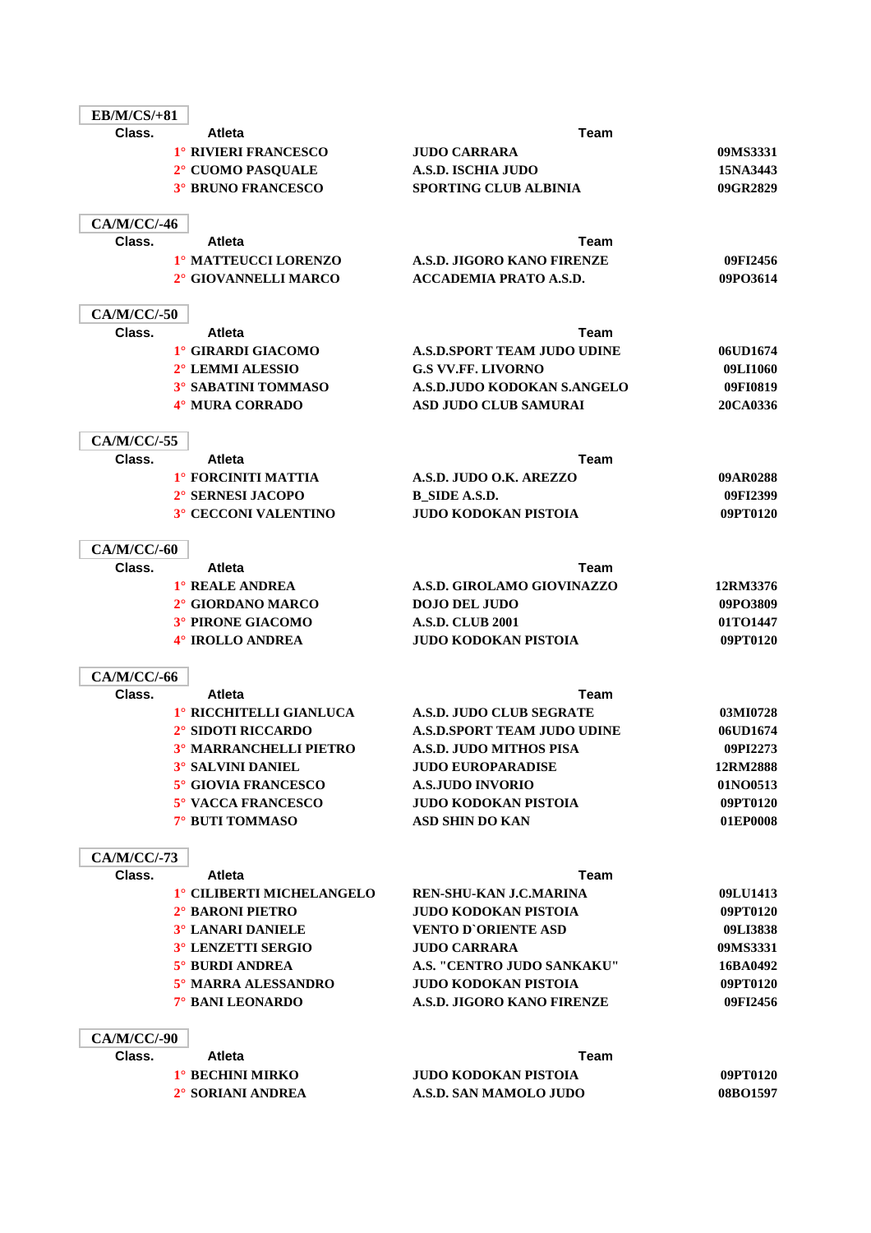| <b>EB/M/CS/+81</b> |                                                 |                                                     |                      |
|--------------------|-------------------------------------------------|-----------------------------------------------------|----------------------|
| Class.             | Atleta                                          | Team                                                |                      |
|                    | 1° RIVIERI FRANCESCO                            | <b>JUDO CARRARA</b>                                 | 09MS3331             |
|                    | 2° CUOMO PASQUALE                               | <b>A.S.D. ISCHIA JUDO</b>                           | 15NA3443             |
|                    | <b>3° BRUNO FRANCESCO</b>                       | <b>SPORTING CLUB ALBINIA</b>                        | 09GR2829             |
| <b>CA/M/CC/-46</b> |                                                 |                                                     |                      |
| Class.             | <b>Atleta</b>                                   | Team                                                |                      |
|                    | 1º MATTEUCCI LORENZO                            | A.S.D. JIGORO KANO FIRENZE                          | 09FI2456             |
|                    | 2° GIOVANNELLI MARCO                            | <b>ACCADEMIA PRATO A.S.D.</b>                       | 09PO3614             |
| CA/M/CC/-50        |                                                 |                                                     |                      |
| Class.             | <b>Atleta</b>                                   | Team                                                |                      |
|                    | 1° GIRARDI GIACOMO                              | <b>A.S.D.SPORT TEAM JUDO UDINE</b>                  | 06UD1674             |
|                    | 2° LEMMI ALESSIO                                | <b>G.S VV.FF. LIVORNO</b>                           | 09LI1060             |
|                    | 3° SABATINI TOMMASO                             | A.S.D.JUDO KODOKAN S.ANGELO                         | 09FI0819             |
|                    | 4° MURA CORRADO                                 | ASD JUDO CLUB SAMURAI                               | 20CA0336             |
| CA/M/CC/-55        |                                                 |                                                     |                      |
| Class.             | <b>Atleta</b>                                   | Team                                                |                      |
|                    | 1° FORCINITI MATTIA                             | A.S.D. JUDO O.K. AREZZO                             | 09AR0288             |
|                    | 2° SERNESI JACOPO                               | <b>B_SIDE A.S.D.</b>                                | 09FI2399             |
|                    | 3° CECCONI VALENTINO                            | <b>JUDO KODOKAN PISTOIA</b>                         | 09PT0120             |
| CA/M/CC/-60        |                                                 |                                                     |                      |
| Class.             | <b>Atleta</b>                                   | Team                                                |                      |
|                    | 1° REALE ANDREA                                 | A.S.D. GIROLAMO GIOVINAZZO                          | 12RM3376             |
|                    | 2° GIORDANO MARCO                               | <b>DOJO DEL JUDO</b>                                | 09PO3809             |
|                    | 3° PIRONE GIACOMO                               | <b>A.S.D. CLUB 2001</b>                             | 01TO1447             |
|                    | 4° IROLLO ANDREA                                | <b>JUDO KODOKAN PISTOIA</b>                         | 09PT0120             |
| CA/M/CC/-66        |                                                 |                                                     |                      |
| Class.             | <b>Atleta</b>                                   | Team                                                |                      |
|                    | 1° RICCHITELLI GIANLUCA                         | <b>A.S.D. JUDO CLUB SEGRATE</b>                     | 03MI0728             |
|                    | 2° SIDOTI RICCARDO                              | A.S.D.SPORT TEAM JUDO UDINE                         | 06UD1674             |
|                    | <b>3º MARRANCHELLI PIETRO</b>                   | <b>A.S.D. JUDO MITHOS PISA</b>                      | 09PI2273             |
|                    | <b>3° SALVINI DANIEL</b><br>5° GIOVIA FRANCESCO | <b>JUDO EUROPARADISE</b><br><b>A.S.JUDO INVORIO</b> | 12RM2888<br>01NO0513 |
|                    | <b>5° VACCA FRANCESCO</b>                       | <b>JUDO KODOKAN PISTOIA</b>                         | 09PT0120             |
|                    | 7° BUTI TOMMASO                                 | <b>ASD SHIN DO KAN</b>                              | 01EP0008             |
| CA/M/CC/-73        |                                                 |                                                     |                      |
| Class.             | <b>Atleta</b>                                   | <b>Team</b>                                         |                      |
|                    | 1° CILIBERTI MICHELANGELO                       | <b>REN-SHU-KAN J.C.MARINA</b>                       | 09LU1413             |
|                    | 2° BARONI PIETRO                                | <b>JUDO KODOKAN PISTOIA</b>                         | 09PT0120             |
|                    | <b>3° LANARI DANIELE</b>                        | <b>VENTO D'ORIENTE ASD</b>                          | 09LI3838             |
|                    | 3° LENZETTI SERGIO                              | <b>JUDO CARRARA</b>                                 | 09MS3331             |
|                    | 5° BURDI ANDREA                                 | A.S. "CENTRO JUDO SANKAKU"                          | 16BA0492             |
|                    | 5° MARRA ALESSANDRO                             | <b>JUDO KODOKAN PISTOIA</b>                         | 09PT0120             |
|                    | 7° BANI LEONARDO                                | A.S.D. JIGORO KANO FIRENZE                          | 09FI2456             |
| <b>CA/M/CC/-90</b> |                                                 |                                                     |                      |
| Class.             | <b>Atleta</b>                                   | Team                                                |                      |
|                    | 1° BECHINI MIRKO                                | <b>JUDO KODOKAN PISTOIA</b>                         | 09PT0120             |
|                    | 2° SORIANI ANDREA                               | A.S.D. SAN MAMOLO JUDO                              | 08BO1597             |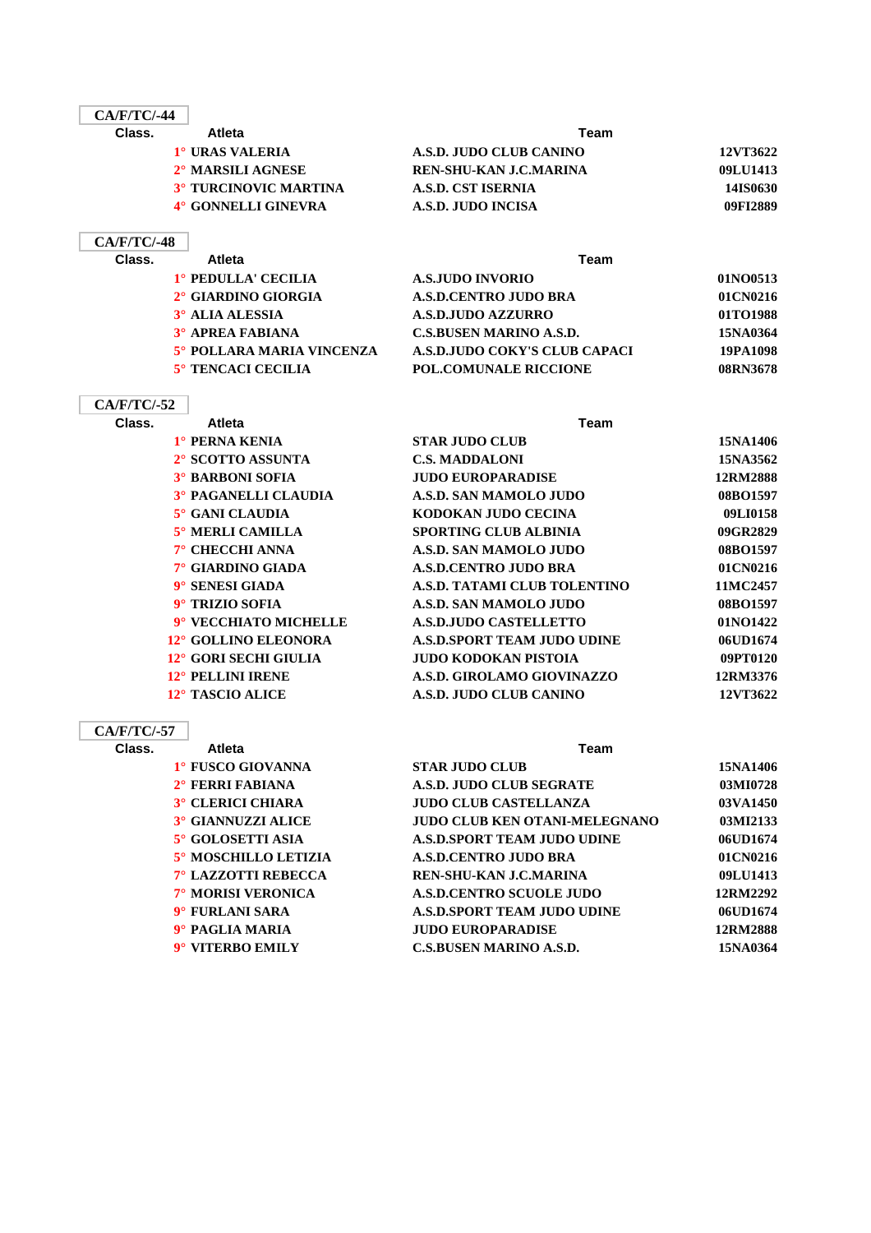| $CA/F/TC/ -44$ |                               |                         |                 |
|----------------|-------------------------------|-------------------------|-----------------|
| Class.         | <b>Atleta</b>                 | Team                    |                 |
|                | 1° URAS VALERIA               | A.S.D. JUDO CLUB CANINO | 12VT3622        |
|                | 2 <sup>°</sup> MARSILI AGNESE | REN-SHU-KAN J.C.MARINA  | 09LU1413        |
|                | <b>3° TURCINOVIC MARTINA</b>  | A.S.D. CST ISERNIA      | <b>14IS0630</b> |
|                | 4° GONNELLI GINEVRA           | A.S.D. JUDO INCISA      | 09FI2889        |
|                |                               |                         |                 |

### **CA/F/TC/-48**

| Class. | <b>Atleta</b>             | Team                           |          |  |
|--------|---------------------------|--------------------------------|----------|--|
|        | 1° PEDULLA' CECILIA       | <b>A.S.JUDO INVORIO</b>        | 01NO0513 |  |
|        | 2° GIARDINO GIORGIA       | <b>A.S.D.CENTRO JUDO BRA</b>   | 01CN0216 |  |
|        | 3° ALIA ALESSIA           | <b>A.S.D.JUDO AZZURRO</b>      | 01TO1988 |  |
|        | <b>3° APREA FABIANA</b>   | <b>C.S.BUSEN MARINO A.S.D.</b> | 15NA0364 |  |
|        | 5° POLLARA MARIA VINCENZA | A.S.D.JUDO COKY'S CLUB CAPACI  | 19PA1098 |  |
|        | 5° TENCACI CECILIA        | <b>POL.COMUNALE RICCIONE</b>   | 08RN3678 |  |
|        |                           |                                |          |  |

### **CA/F/TC/-52**

| Class. | Atleta                  | Team                               |          |
|--------|-------------------------|------------------------------------|----------|
|        | 1° PERNA KENIA          | <b>STAR JUDO CLUB</b>              | 15NA1406 |
|        | 2° SCOTTO ASSUNTA       | <b>C.S. MADDALONI</b>              | 15NA3562 |
|        | <b>3° BARBONI SOFIA</b> | <b>JUDO EUROPARADISE</b>           | 12RM2888 |
|        | 3° PAGANELLI CLAUDIA    | A.S.D. SAN MAMOLO JUDO             | 08BO1597 |
|        | $5^\circ$ GANI CLAUDIA  | KODOKAN JUDO CECINA                | 09LI0158 |
|        | 5° MERLI CAMILLA        | <b>SPORTING CLUB ALBINIA</b>       | 09GR2829 |
|        | 7° CHECCHI ANNA         | A.S.D. SAN MAMOLO JUDO             | 08BO1597 |
|        | 7° GIARDINO GIADA       | <b>A.S.D.CENTRO JUDO BRA</b>       | 01CN0216 |
|        | 9° SENESI GIADA         | A.S.D. TATAMI CLUB TOLENTINO       | 11MC2457 |
|        | 9° TRIZIO SOFIA         | A.S.D. SAN MAMOLO JUDO             | 08BO1597 |
|        | 9° VECCHIATO MICHELLE   | <b>A.S.D.JUDO CASTELLETTO</b>      | 01NO1422 |
|        | 12° GOLLINO ELEONORA    | <b>A.S.D.SPORT TEAM JUDO UDINE</b> | 06UD1674 |
|        | 12° GORI SECHI GIULIA   | <b>JUDO KODOKAN PISTOIA</b>        | 09PT0120 |
|        | 12° PELLINI IRENE       | A.S.D. GIROLAMO GIOVINAZZO         | 12RM3376 |
|        | 12° TASCIO ALICE        | A.S.D. JUDO CLUB CANINO            | 12VT3622 |

| Class. | <b>Atleta</b>              | Team                                 |          |
|--------|----------------------------|--------------------------------------|----------|
|        | 1° FUSCO GIOVANNA          | <b>STAR JUDO CLUB</b>                | 15NA1406 |
|        | $2^\circ$ FERRI FABIANA    | A.S.D. JUDO CLUB SEGRATE             | 03MI0728 |
|        | <b>3° CLERICI CHIARA</b>   | <b>JUDO CLUB CASTELLANZA</b>         | 03VA1450 |
|        | <b>3° GIANNUZZI ALICE</b>  | <b>JUDO CLUB KEN OTANI-MELEGNANO</b> | 03MI2133 |
|        | 5° GOLOSETTI ASIA          | A.S.D.SPORT TEAM JUDO UDINE          | 06UD1674 |
|        | 5° MOSCHILLO LETIZIA       | <b>A.S.D.CENTRO JUDO BRA</b>         | 01CN0216 |
|        | <b>7° LAZZOTTI REBECCA</b> | REN-SHU-KAN J.C.MARINA               | 09LU1413 |
|        | <b>7° MORISI VERONICA</b>  | <b>A.S.D.CENTRO SCUOLE JUDO</b>      | 12RM2292 |
|        | 9° FURLANI SARA            | <b>A.S.D.SPORT TEAM JUDO UDINE</b>   | 06UD1674 |
|        | 9° PAGLIA MARIA            | <b>JUDO EUROPARADISE</b>             | 12RM2888 |
|        | 9° VITERBO EMILY           | <b>C.S.BUSEN MARINO A.S.D.</b>       | 15NA0364 |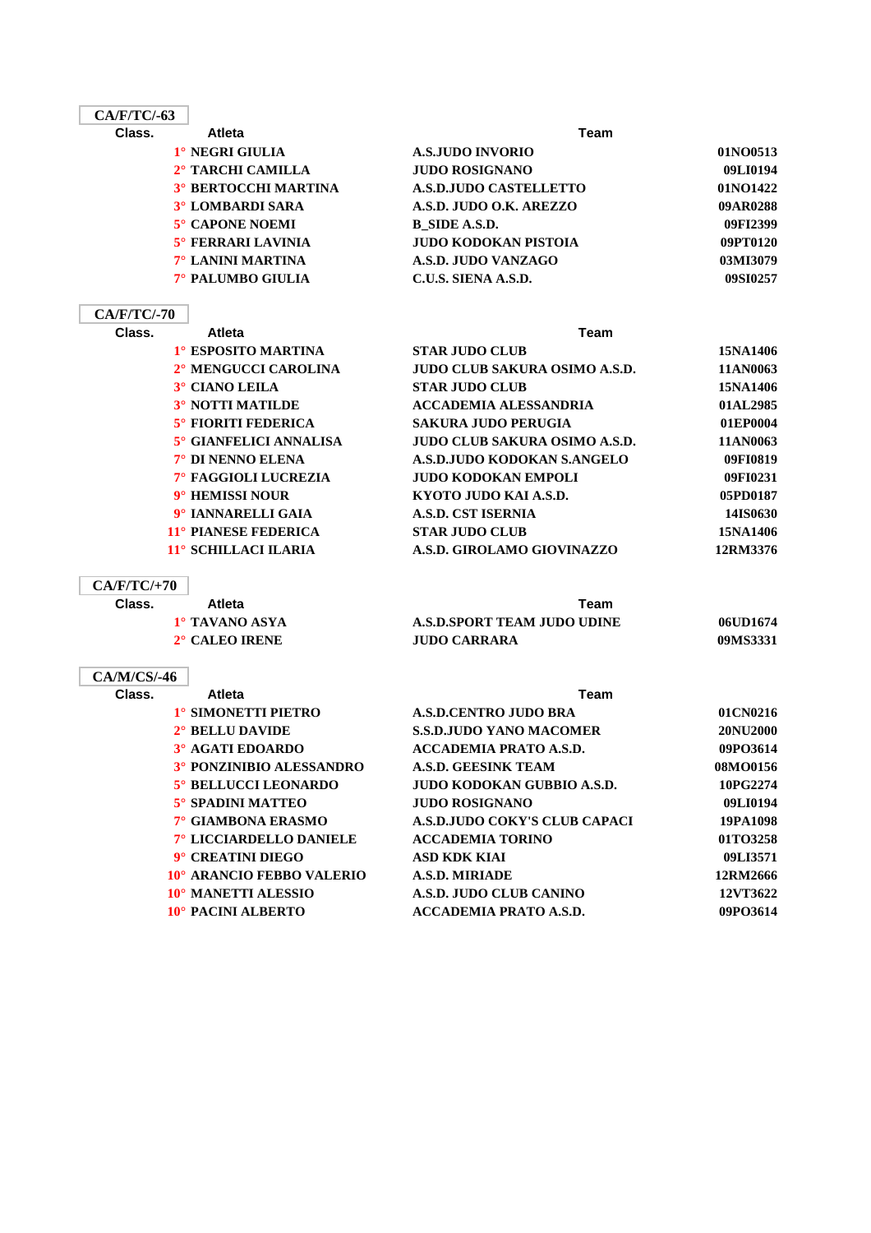| $CA/F/TC/-63$      |                             |                                      |          |
|--------------------|-----------------------------|--------------------------------------|----------|
| Class.             | <b>Atleta</b>               | <b>Team</b>                          |          |
|                    | 1° NEGRI GIULIA             | <b>A.S.JUDO INVORIO</b>              | 01NO0513 |
|                    | 2° TARCHI CAMILLA           | <b>JUDO ROSIGNANO</b>                | 09LI0194 |
|                    | <b>3° BERTOCCHI MARTINA</b> | <b>A.S.D.JUDO CASTELLETTO</b>        | 01NO1422 |
|                    | <b>3° LOMBARDI SARA</b>     | A.S.D. JUDO O.K. AREZZO              | 09AR0288 |
|                    | 5° CAPONE NOEMI             | B SIDE A.S.D.                        | 09FI2399 |
|                    | <b>5° FERRARI LAVINIA</b>   | <b>JUDO KODOKAN PISTOIA</b>          | 09PT0120 |
|                    | <b>7° LANINI MARTINA</b>    | A.S.D. JUDO VANZAGO                  | 03MI3079 |
|                    | 7° PALUMBO GIULIA           | C.U.S. SIENA A.S.D.                  | 09SI0257 |
| <b>CA/F/TC/-70</b> |                             |                                      |          |
| Class.             | <b>Atleta</b>               | <b>Team</b>                          |          |
|                    | 1° ESPOSITO MARTINA         | <b>STAR JUDO CLUB</b>                | 15NA1406 |
|                    | 2° MENGUCCI CAROLINA        | <b>JUDO CLUB SAKURA OSIMO A.S.D.</b> | 11AN0063 |
|                    | 3° CIANO LEILA              | <b>STAR JUDO CLUB</b>                | 15NA1406 |
|                    | <b>3° NOTTI MATILDE</b>     | <b>ACCADEMIA ALESSANDRIA</b>         | 01AL2985 |
|                    | 5° FIORITI FEDERICA         | <b>SAKURA JUDO PERUGIA</b>           | 01EP0004 |
|                    | 5° GIANFELICI ANNALISA      | <b>JUDO CLUB SAKURA OSIMO A.S.D.</b> | 11AN0063 |
|                    | 7° DI NENNO ELENA           | A.S.D.JUDO KODOKAN S.ANGELO          | 09FI0819 |
|                    | 7° FAGGIOLI LUCREZIA        | <b>JUDO KODOKAN EMPOLI</b>           | 09FI0231 |
|                    | 9° HEMISSI NOUR             | KYOTO JUDO KAI A.S.D.                | 05PD0187 |
|                    | 9° IANNARELLI GAIA          | <b>A.S.D. CST ISERNIA</b>            | 14IS0630 |
|                    | 11° PIANESE FEDERICA        | <b>STAR JUDO CLUB</b>                | 15NA1406 |
|                    | 11° SCHILLACI ILARIA        | A.S.D. GIROLAMO GIOVINAZZO           | 12RM3376 |
|                    |                             |                                      |          |

### **CA/F/TC/+70**

 $\overline{\phantom{a}}$ 

| Class. | Atleta                | Team                        |          |
|--------|-----------------------|-----------------------------|----------|
|        | 1° TAVANO ASYA        | A.S.D.SPORT TEAM JUDO UDINE | 06UD1674 |
|        | $2^\circ$ CALEO IRENE | <b>JUDO CARRARA</b>         | 09MS3331 |

## **CA/M/CS/-46**

| Class. | Atleta                    | Team                           |          |
|--------|---------------------------|--------------------------------|----------|
|        | 1° SIMONETTI PIETRO       | <b>A.S.D.CENTRO JUDO BRA</b>   | 01CN0216 |
|        | $2^\circ$ BELLU DAVIDE    | <b>S.S.D.JUDO YANO MACOMER</b> | 20NU2000 |
|        | <b>3° AGATI EDOARDO</b>   | <b>ACCADEMIA PRATO A.S.D.</b>  | 09PO3614 |
|        | 3° PONZINIBIO ALESSANDRO  | <b>A.S.D. GEESINK TEAM</b>     | 08MO0156 |
|        | 5° BELLUCCI LEONARDO      | JUDO KODOKAN GUBBIO A.S.D.     | 10PG2274 |
|        | <b>5° SPADINI MATTEO</b>  | <b>JUDO ROSIGNANO</b>          | 09LI0194 |
|        | 7° GIAMBONA ERASMO        | A.S.D.JUDO COKY'S CLUB CAPACI  | 19PA1098 |
|        | 7° LICCIARDELLO DANIELE   | <b>ACCADEMIA TORINO</b>        | 01TO3258 |
|        | 9° CREATINI DIEGO         | <b>ASD KDK KIAI</b>            | 09LI3571 |
|        | 10° ARANCIO FEBBO VALERIO | <b>A.S.D. MIRIADE</b>          | 12RM2666 |
|        | 10° MANETTI ALESSIO       | A.S.D. JUDO CLUB CANINO        | 12VT3622 |
|        | <b>10° PACINI ALBERTO</b> | ACCADEMIA PRATO A.S.D.         | 09PO3614 |
|        |                           |                                |          |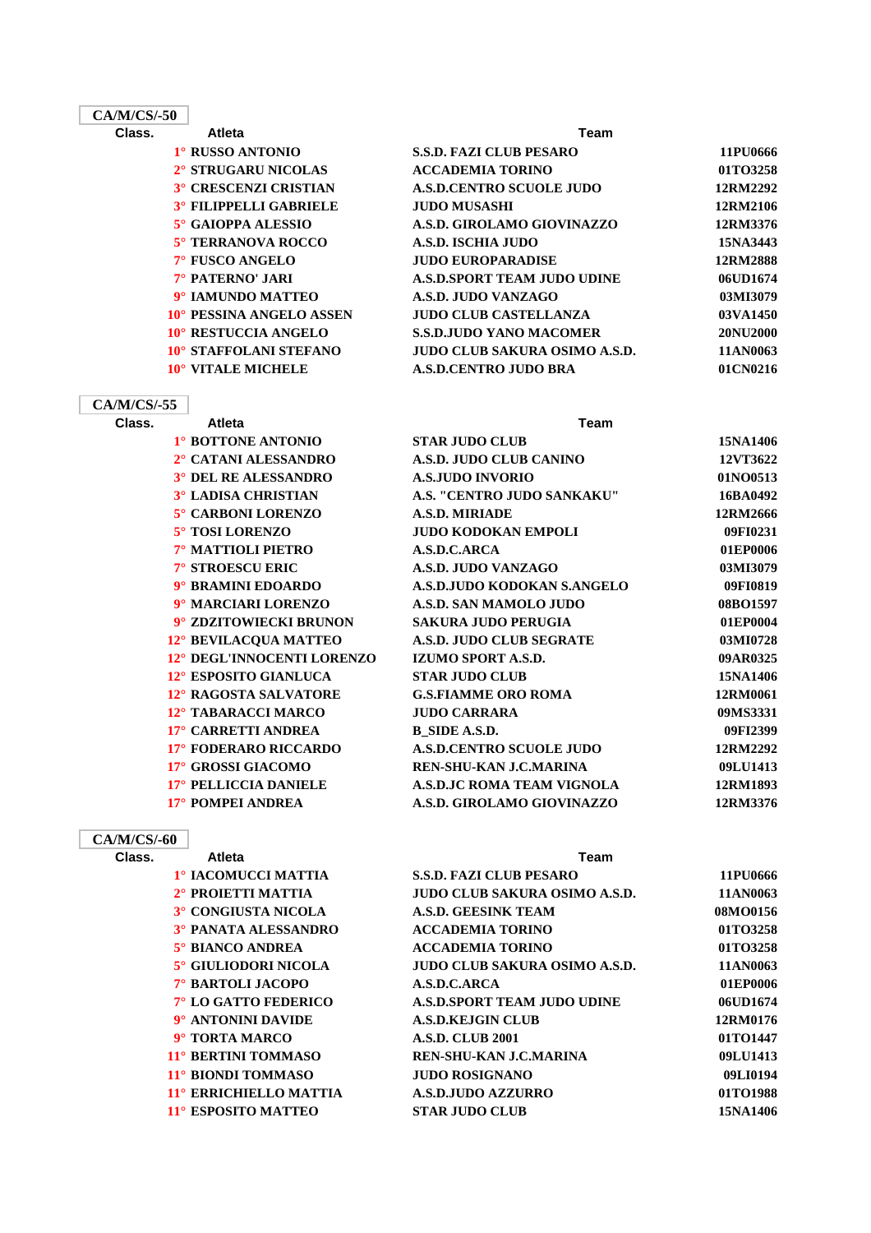### **CA/M/CS/-50**

| 21 N N N O O O O O |                               |                                    |          |
|--------------------|-------------------------------|------------------------------------|----------|
| Class.             | Atleta                        | Team                               |          |
|                    | 1° RUSSO ANTONIO              | <b>S.S.D. FAZI CLUB PESARO</b>     | 11PU0666 |
|                    | 2° STRUGARU NICOLAS           | <b>ACCADEMIA TORINO</b>            | 01TO3258 |
|                    | <b>3° CRESCENZI CRISTIAN</b>  | <b>A.S.D.CENTRO SCUOLE JUDO</b>    | 12RM2292 |
|                    | <b>3° FILIPPELLI GABRIELE</b> | <b>JUDO MUSASHI</b>                | 12RM2106 |
|                    | 5° GAIOPPA ALESSIO            | A.S.D. GIROLAMO GIOVINAZZO         | 12RM3376 |
|                    | 5° TERRANOVA ROCCO            | <b>A.S.D. ISCHIA JUDO</b>          | 15NA3443 |
|                    | 7° FUSCO ANGELO               | <b>JUDO EUROPARADISE</b>           | 12RM2888 |
|                    | 7° PATERNO' JARI              | <b>A.S.D.SPORT TEAM JUDO UDINE</b> | 06UD1674 |
|                    | 9° IAMUNDO MATTEO             | A.S.D. JUDO VANZAGO                | 03MI3079 |
|                    | 10° PESSINA ANGELO ASSEN      | <b>JUDO CLUB CASTELLANZA</b>       | 03VA1450 |
|                    | 10° RESTUCCIA ANGELO          | <b>S.S.D.JUDO YANO MACOMER</b>     | 20NU2000 |
|                    |                               |                                    |          |

# **CA/M/CS/-55**

| 'M/CS/-55 |                             |                                  |
|-----------|-----------------------------|----------------------------------|
| Class.    | <b>Atleta</b>               | Team                             |
|           | 1° BOTTONE ANTONIO          | <b>STAR JUDO CLUB</b>            |
|           | 2° CATANI ALESSANDRO        | A.S.D. JUDO CLUB CANINO          |
|           | <b>3° DEL RE ALESSANDRO</b> | <b>A.S.JUDO INVORIO</b>          |
|           | <b>3° LADISA CHRISTIAN</b>  | A.S. "CENTRO JUDO SANKAKU        |
|           | 5° CARBONI LORENZO          | <b>A.S.D. MIRIADE</b>            |
|           | 5° TOSI LORENZO             | <b>JUDO KODOKAN EMPOLI</b>       |
|           | 7° MATTIOLI PIETRO          | A.S.D.C.ARCA                     |
|           | 7° STROESCU ERIC            | A.S.D. JUDO VANZAGO              |
|           | 9° BRAMINI EDOARDO          | A.S.D.JUDO KODOKAN S.ANGEI       |
|           | 9° MARCIARI LORENZO         | A.S.D. SAN MAMOLO JUDO           |
|           | 9° ZDZITOWIECKI BRUNON      | <b>SAKURA JUDO PERUGIA</b>       |
|           | 12° BEVILACQUA MATTEO       | A.S.D. JUDO CLUB SEGRATE         |
|           | 12° DEGL'INNOCENTI LORENZO  | <b>IZUMO SPORT A.S.D.</b>        |
|           | 12° ESPOSITO GIANLUCA       | <b>STAR JUDO CLUB</b>            |
|           | 12° RAGOSTA SALVATORE       | <b>G.S.FIAMME ORO ROMA</b>       |
|           | 12° TABARACCI MARCO         | <b>JUDO CARRARA</b>              |
|           | 17° CARRETTI ANDREA         | <b>B_SIDE A.S.D.</b>             |
|           | 17° FODERARO RICCARDO       | <b>A.S.D.CENTRO SCUOLE JUDO</b>  |
|           | 17° GROSSI GIACOMO          | <b>REN-SHU-KAN J.C.MARINA</b>    |
|           | 17° PELLICCIA DANIELE       | <b>A.S.D.JC ROMA TEAM VIGNOL</b> |
|           | 17° POMPEI ANDREA           | A.S.D. GIROLAMO GIOVINAZZO       |

**10° STAFFOLANI STEFANO 10° VITALE MICHELE** 

### **CA/M/CS/-60**

| 1º IACOMUCCI MATTIA        |
|----------------------------|
| 2° PROJETTI MATTIA         |
| 3° CONGIUSTA NICOLA        |
| <b>3° PANATA ALESSANDR</b> |
|                            |

- **3TA ALESSANDRO 5° BIANCO ANDREA 5° GIULIODORI NICOLA**  $7^\circ$  **BARTOLI JACOPO 7° LO GATTO FEDERICO 9° ANTONINI DAVIDE 9° TORTA MARCO 11° BERTINI TOMMASO 11° BIONDI TOMMASO**
- **11° ERRICHIELLO MATTIA 11° ESPOSITO MATTEO**

| 8.8.D. FAZI ULUB PESAKU         | 1 1 1 1 1 1 1 1 1 1 1 1 |
|---------------------------------|-------------------------|
| <b>ACCADEMIA TORINO</b>         | 01TO3258                |
| <b>A.S.D.CENTRO SCUOLE JUDO</b> | 12RM2292                |
| JUDO MUSASHI                    | 12RM2106                |
| A.S.D. GIROLAMO GIOVINAZZO      | 12RM3376                |
| A.S.D. ISCHIA JUDO              | 15NA3443                |
| <b>JUDO EUROPARADISE</b>        | 12RM2888                |
| A.S.D.SPORT TEAM JUDO UDINE     | 06UD1674                |
| A.S.D. JUDO VANZAGO             | 03MI3079                |
| <b>JUDO CLUB CASTELLANZA</b>    | 03VA1450                |
| <b>S.S.D.JUDO YANO MACOMER</b>  | 20NU2000                |
| JUDO CLUB SAKURA OSIMO A.S.D.   | 11AN0063                |
| <b>A.S.D.CENTRO JUDO BRA</b>    | 01CN0216                |
|                                 |                         |

| 1° BOTTONE ANTONIO           | <b>STAR JUDO CLUB</b>           | 15NA1406 |
|------------------------------|---------------------------------|----------|
| 2° CATANI ALESSANDRO         | <b>A.S.D. JUDO CLUB CANINO</b>  | 12VT3622 |
| <b>3° DEL RE ALESSANDRO</b>  | <b>A.S.JUDO INVORIO</b>         | 01NO0513 |
| <b>3° LADISA CHRISTIAN</b>   | A.S. "CENTRO JUDO SANKAKU"      | 16BA0492 |
| 5° CARBONI LORENZO           | <b>A.S.D. MIRIADE</b>           | 12RM2666 |
| 5° TOSI LORENZO              | <b>JUDO KODOKAN EMPOLI</b>      | 09FI0231 |
| 7° MATTIOLI PIETRO           | A.S.D.C.ARCA                    | 01EP0006 |
| 7° STROESCU ERIC             | A.S.D. JUDO VANZAGO             | 03MI3079 |
| 9° BRAMINI EDOARDO           | A.S.D.JUDO KODOKAN S.ANGELO     | 09FI0819 |
| 9° MARCIARI LORENZO          | A.S.D. SAN MAMOLO JUDO          | 08BO1597 |
| 9° ZDZITOWIECKI BRUNON       | <b>SAKURA JUDO PERUGIA</b>      | 01EP0004 |
| 12° BEVILACQUA MATTEO        | A.S.D. JUDO CLUB SEGRATE        | 03MI0728 |
| 12° DEGL'INNOCENTI LORENZO   | <b>IZUMO SPORT A.S.D.</b>       | 09AR0325 |
| 12° ESPOSITO GIANLUCA        | <b>STAR JUDO CLUB</b>           | 15NA1406 |
| 12° RAGOSTA SALVATORE        | <b>G.S.FIAMME ORO ROMA</b>      | 12RM0061 |
| 12° TABARACCI MARCO          | <b>JUDO CARRARA</b>             | 09MS3331 |
| 17° CARRETTI ANDREA          | B SIDE A.S.D.                   | 09FI2399 |
| 17° FODERARO RICCARDO        | <b>A.S.D.CENTRO SCUOLE JUDO</b> | 12RM2292 |
| 17° GROSSI GIACOMO           | <b>REN-SHU-KAN J.C.MARINA</b>   | 09LU1413 |
| <b>17° PELLICCIA DANIELE</b> | A.S.D.JC ROMA TEAM VIGNOLA      | 12RM1893 |
| 17° POMPEI ANDREA            | A.S.D. GIROLAMO GIOVINAZZO      | 12RM3376 |
|                              |                                 |          |

#### **Class. Atleta Team**

| S.S.D. FAZI CLUB PESARO       | 11PU0666 |
|-------------------------------|----------|
| JUDO CLUB SAKURA OSIMO A.S.D. | 11AN0063 |
| A.S.D. GEESINK TEAM           | 08MO0156 |
| <b>ACCADEMIA TORINO</b>       | 01TO3258 |
| <b>ACCADEMIA TORINO</b>       | 01TO3258 |
| JUDO CLUB SAKURA OSIMO A.S.D. | 11AN0063 |
| A.S.D.C.ARCA                  | 01EP0006 |
| A.S.D.SPORT TEAM JUDO UDINE   | 06UD1674 |
| A.S.D.KE.IGIN CLUB            | 12RM0176 |
| <b>A.S.D. CLUB 2001</b>       | 01TO1447 |
| REN-SHU-KAN LC.MARINA         | 09LU1413 |
| JUDO ROSIGNANO                | 09LI0194 |
| <b>A.S.D.JUDO AZZURRO</b>     | 01TO1988 |
| STAR JUDO CLUB                | 15NA1406 |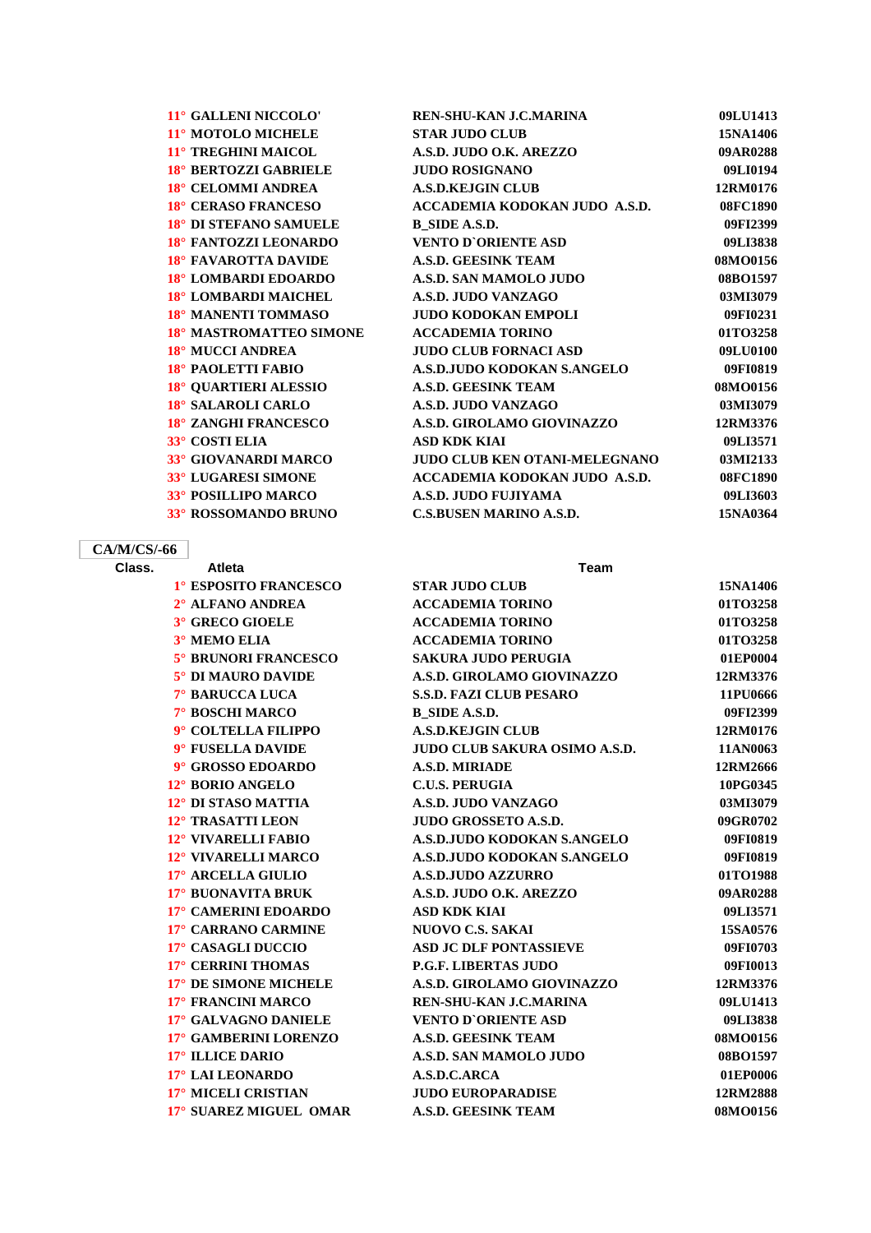| 11° GALLENI NICCOLO'         | REN-SHU-KAN J.C.MARINA               | 09LU1413 |
|------------------------------|--------------------------------------|----------|
| 11° MOTOLO MICHELE           | <b>STAR JUDO CLUB</b>                | 15NA1406 |
| 11° TREGHINI MAICOL          | A.S.D. JUDO O.K. AREZZO              | 09AR0288 |
| <b>18° BERTOZZI GABRIELE</b> | <b>JUDO ROSIGNANO</b>                | 09LI0194 |
| 18° CELOMMI ANDREA           | <b>A.S.D.KEJGIN CLUB</b>             | 12RM0176 |
| <b>18° CERASO FRANCESO</b>   | ACCADEMIA KODOKAN JUDO A.S.D.        | 08FC1890 |
| 18° DI STEFANO SAMUELE       | <b>B</b> SIDE A.S.D.                 | 09FI2399 |
| 18° FANTOZZI LEONARDO        | <b>VENTO D'ORIENTE ASD</b>           | 09LI3838 |
| 18° FAVAROTTA DAVIDE         | <b>A.S.D. GEESINK TEAM</b>           | 08MO0156 |
| 18° LOMBARDI EDOARDO         | A.S.D. SAN MAMOLO JUDO               | 08BO1597 |
| 18° LOMBARDI MAICHEL         | A.S.D. JUDO VANZAGO                  | 03MI3079 |
| 18° MANENTI TOMMASO          | <b>JUDO KODOKAN EMPOLI</b>           | 09FI0231 |
| 18° MASTROMATTEO SIMONE      | <b>ACCADEMIA TORINO</b>              | 01TO3258 |
| 18° MUCCI ANDREA             | <b>JUDO CLUB FORNACI ASD</b>         | 09LU0100 |
| 18° PAOLETTI FABIO           | A.S.D.JUDO KODOKAN S.ANGELO          | 09FI0819 |
| <b>18° QUARTIERI ALESSIO</b> | <b>A.S.D. GEESINK TEAM</b>           | 08MO0156 |
| 18° SALAROLI CARLO           | A.S.D. JUDO VANZAGO                  | 03MI3079 |
| <b>18° ZANGHI FRANCESCO</b>  | A.S.D. GIROLAMO GIOVINAZZO           | 12RM3376 |
| 33° COSTI ELIA               | <b>ASD KDK KIAI</b>                  | 09LI3571 |
| 33° GIOVANARDI MARCO         | <b>JUDO CLUB KEN OTANI-MELEGNANO</b> | 03MI2133 |
| 33° LUGARESI SIMONE          | ACCADEMIA KODOKAN JUDO A.S.D.        | 08FC1890 |
| <b>33° POSILLIPO MARCO</b>   | A.S.D. JUDO FUJIYAMA                 | 09LI3603 |
| 33° ROSSOMANDO BRUNO         | <b>C.S.BUSEN MARINO A.S.D.</b>       | 15NA0364 |
|                              |                                      |          |

## **CA/M/CS/-66**

| Class. | <b>Atleta</b>               | <b>Team</b>                          |          |
|--------|-----------------------------|--------------------------------------|----------|
|        | 1° ESPOSITO FRANCESCO       | <b>STAR JUDO CLUB</b>                | 15NA1406 |
|        | 2° ALFANO ANDREA            | <b>ACCADEMIA TORINO</b>              | 01TO3258 |
|        | 3° GRECO GIOELE             | <b>ACCADEMIA TORINO</b>              | 01TO3258 |
|        | 3° MEMO ELIA                | <b>ACCADEMIA TORINO</b>              | 01TO3258 |
|        | <b>5° BRUNORI FRANCESCO</b> | <b>SAKURA JUDO PERUGIA</b>           | 01EP0004 |
|        | 5° DI MAURO DAVIDE          | A.S.D. GIROLAMO GIOVINAZZO           | 12RM3376 |
|        | 7° BARUCCA LUCA             | <b>S.S.D. FAZI CLUB PESARO</b>       | 11PU0666 |
|        | 7° BOSCHI MARCO             | <b>B_SIDE A.S.D.</b>                 | 09FI2399 |
|        | 9° COLTELLA FILIPPO         | <b>A.S.D.KEJGIN CLUB</b>             | 12RM0176 |
|        | 9° FUSELLA DAVIDE           | <b>JUDO CLUB SAKURA OSIMO A.S.D.</b> | 11AN0063 |
|        | 9° GROSSO EDOARDO           | <b>A.S.D. MIRIADE</b>                | 12RM2666 |
|        | 12° BORIO ANGELO            | <b>C.U.S. PERUGIA</b>                | 10PG0345 |
|        | 12° DI STASO MATTIA         | A.S.D. JUDO VANZAGO                  | 03MI3079 |
|        | 12° TRASATTI LEON           | <b>JUDO GROSSETO A.S.D.</b>          | 09GR0702 |
|        | 12° VIVARELLI FABIO         | A.S.D.JUDO KODOKAN S.ANGELO          | 09FI0819 |
|        | 12° VIVARELLI MARCO         | A.S.D.JUDO KODOKAN S.ANGELO          | 09FI0819 |
|        | 17° ARCELLA GIULIO          | <b>A.S.D.JUDO AZZURRO</b>            | 01TO1988 |
|        | 17° BUONAVITA BRUK          | A.S.D. JUDO O.K. AREZZO              | 09AR0288 |
|        | 17° CAMERINI EDOARDO        | <b>ASD KDK KIAI</b>                  | 09LI3571 |
|        | 17° CARRANO CARMINE         | <b>NUOVO C.S. SAKAI</b>              | 15SA0576 |
|        | 17° CASAGLI DUCCIO          | <b>ASD JC DLF PONTASSIEVE</b>        | 09FI0703 |
|        | 17° CERRINI THOMAS          | <b>P.G.F. LIBERTAS JUDO</b>          | 09FI0013 |
|        | 17° DE SIMONE MICHELE       | A.S.D. GIROLAMO GIOVINAZZO           | 12RM3376 |
|        | 17° FRANCINI MARCO          | <b>REN-SHU-KAN J.C.MARINA</b>        | 09LU1413 |
|        | 17° GALVAGNO DANIELE        | <b>VENTO D'ORIENTE ASD</b>           | 09LI3838 |
|        | 17° GAMBERINI LORENZO       | <b>A.S.D. GEESINK TEAM</b>           | 08MO0156 |
|        | 17° ILLICE DARIO            | A.S.D. SAN MAMOLO JUDO               | 08BO1597 |
|        | 17° LAI LEONARDO            | A.S.D.C.ARCA                         | 01EP0006 |
|        | 17° MICELI CRISTIAN         | <b>JUDO EUROPARADISE</b>             | 12RM2888 |
|        | 17° SUAREZ MIGUEL OMAR      | <b>A.S.D. GEESINK TEAM</b>           | 08MO0156 |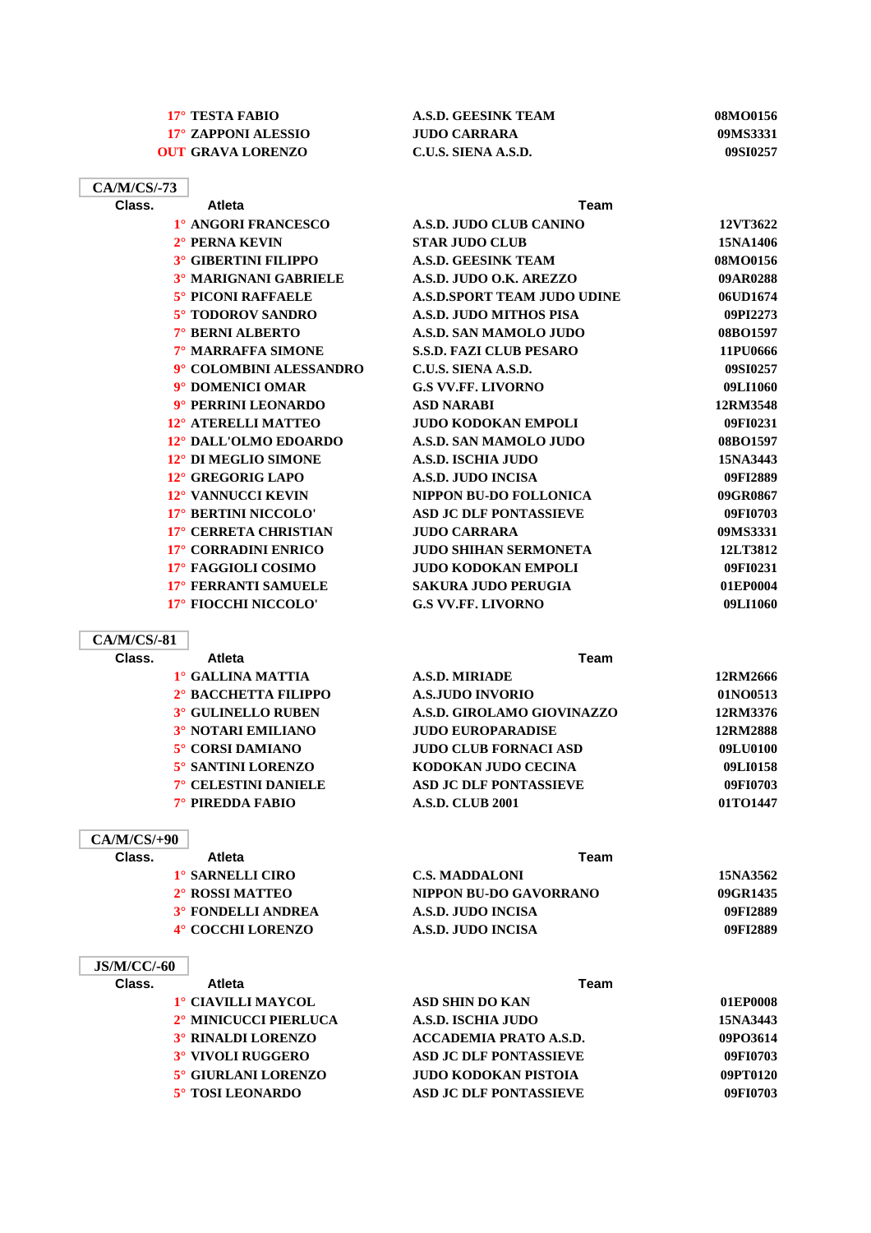| 17° TESTA FABIO          | A.S.D. GEESINK TEAM | 08MO0156 |
|--------------------------|---------------------|----------|
| 17° ZAPPONI ALESSIO      | JUDO CARRARA        | 09MS3331 |
| <b>OUT GRAVA LORENZO</b> | C.U.S. SIENA A.S.D. | 09SI0257 |

| CA/M/CS/-73 |                              |                                    |          |
|-------------|------------------------------|------------------------------------|----------|
| Class.      | <b>Atleta</b>                | Team                               |          |
|             | 1° ANGORI FRANCESCO          | A.S.D. JUDO CLUB CANINO            | 12VT3622 |
|             | $2^\circ$ PERNA KEVIN        | <b>STAR JUDO CLUB</b>              | 15NA1406 |
|             | <b>3° GIBERTINI FILIPPO</b>  | <b>A.S.D. GEESINK TEAM</b>         | 08MO0156 |
|             | <b>3º MARIGNANI GABRIELE</b> | A.S.D. JUDO O.K. AREZZO            | 09AR0288 |
|             | <b>5° PICONI RAFFAELE</b>    | <b>A.S.D.SPORT TEAM JUDO UDINE</b> | 06UD1674 |
|             | 5° TODOROV SANDRO            | A.S.D. JUDO MITHOS PISA            | 09PI2273 |
|             | 7° BERNI ALBERTO             | A.S.D. SAN MAMOLO JUDO             | 08BO1597 |
|             | 7° MARRAFFA SIMONE           | <b>S.S.D. FAZI CLUB PESARO</b>     | 11PU0666 |
|             | 9° COLOMBINI ALESSANDRO      | C.U.S. SIENA A.S.D.                | 09SI0257 |
|             | 9° DOMENICI OMAR             | <b>G.S VV.FF. LIVORNO</b>          | 09LI1060 |
|             | 9° PERRINI LEONARDO          | <b>ASD NARABI</b>                  | 12RM3548 |
|             | 12° ATERELLI MATTEO          | <b>JUDO KODOKAN EMPOLI</b>         | 09FI0231 |
|             | 12° DALL'OLMO EDOARDO        | A.S.D. SAN MAMOLO JUDO             | 08BO1597 |
|             | 12° DI MEGLIO SIMONE         | <b>A.S.D. ISCHIA JUDO</b>          | 15NA3443 |
|             | 12° GREGORIG LAPO            | <b>A.S.D. JUDO INCISA</b>          | 09FI2889 |
|             | 12° VANNUCCI KEVIN           | <b>NIPPON BU-DO FOLLONICA</b>      | 09GR0867 |
|             | 17° BERTINI NICCOLO'         | <b>ASD JC DLF PONTASSIEVE</b>      | 09FI0703 |
|             | 17° CERRETA CHRISTIAN        | <b>JUDO CARRARA</b>                | 09MS3331 |
|             | 17° CORRADINI ENRICO         | <b>JUDO SHIHAN SERMONETA</b>       | 12LT3812 |
|             | 17° FAGGIOLI COSIMO          | <b>JUDO KODOKAN EMPOLI</b>         | 09FI0231 |
|             | 17° FERRANTI SAMUELE         | <b>SAKURA JUDO PERUGIA</b>         | 01EP0004 |
|             | 17° FIOCCHI NICCOLO'         | <b>G.S VV.FF. LIVORNO</b>          | 09LI1060 |
|             |                              |                                    |          |

**CA/M/CS/-81 Class. Atleta Team 1° GALLINA MATTIA A.S.D. MIRIADE 12RM2666 2° BACCHETTA FILIPPO A.S.JUDO INVORIO 01NO0513 3° GULINELLO RUBEN A.S.D. GIROLAMO GIOVINAZZO 12RM3376 3° NOTARI EMILIANO JUDO EUROPARADISE 12RM2888 5° CORSI DAMIANO JUDO CLUB FORNACI ASD 09LU0100 5° SANTINI LORENZO KODOKAN JUDO CECINA 09LI0158 7° CELESTINI DANIELE ASD JC DLF PONTASSIEVE 09FI0703 7° PIREDDA FABIO A.S.D. CLUB 2001 01TO1447**

### **CA/M/CS/+90**

**JS/M/CC/-60**

| Class. | <b>Atleta</b>               | Team                   |          |
|--------|-----------------------------|------------------------|----------|
|        | 1° SARNELLI CIRO            | <b>C.S. MADDALONI</b>  | 15NA3562 |
|        | 2 <sup>°</sup> ROSSI MATTEO | NIPPON BU-DO GAVORRANO | 09GR1435 |
|        | <b>3° FONDELLI ANDREA</b>   | A.S.D. JUDO INCISA     | 09FI2889 |
|        | 4° COCCHI LORENZO           | A.S.D. JUDO INCISA     | 09FI2889 |

### **Class. Atleta Team**

| 1° CIAVILLI MAYCOL<br><b>ASD SHIN DO KAN</b>       | 01EP0008 |
|----------------------------------------------------|----------|
| 2° MINICUCCI PIERLUCA<br>A.S.D. ISCHIA JUDO        | 15NA3443 |
| 3° RINALDI LORENZO<br>ACCADEMIA PRATO A.S.D.       | 09PO3614 |
| 3° VIVOLI RUGGERO<br><b>ASD JC DLF PONTASSIEVE</b> | 09FI0703 |
| 5° GIURLANI LORENZO<br>JUDO KODOKAN PISTOIA        | 09PT0120 |
| 5° TOSI LEONARDO<br><b>ASD JC DLF PONTASSIEVE</b>  | 09FI0703 |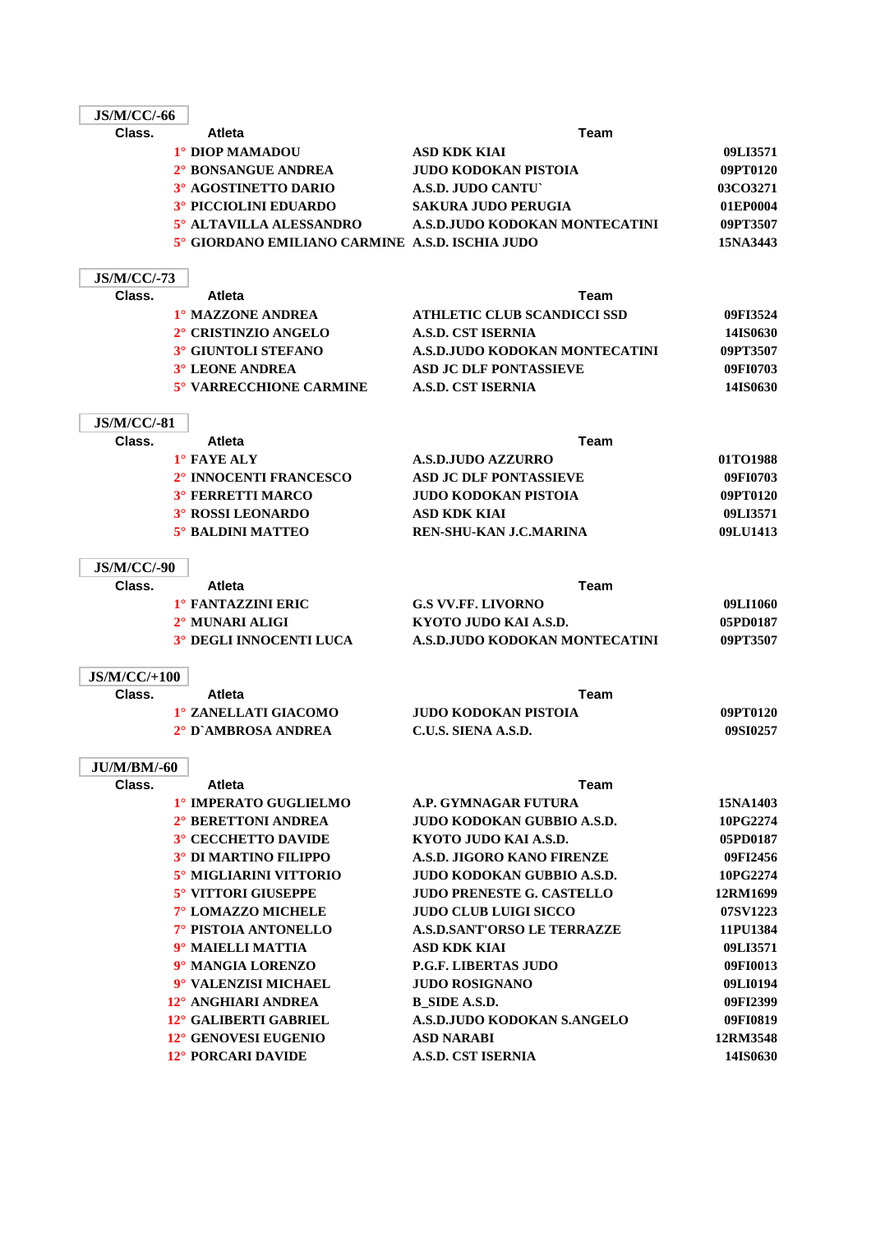| <b>JS/M/CC/-66</b>           |                                                 |                                    |          |
|------------------------------|-------------------------------------------------|------------------------------------|----------|
| Class.                       | <b>Atleta</b>                                   | Team                               |          |
|                              | 1° DIOP MAMADOU                                 | <b>ASD KDK KIAI</b>                | 09LI3571 |
|                              | 2° BONSANGUE ANDREA                             | <b>JUDO KODOKAN PISTOIA</b>        | 09PT0120 |
|                              | 3° AGOSTINETTO DARIO                            | A.S.D. JUDO CANTU                  | 03CO3271 |
|                              | <b>3° PICCIOLINI EDUARDO</b>                    | <b>SAKURA JUDO PERUGIA</b>         | 01EP0004 |
|                              | 5° ALTAVILLA ALESSANDRO                         | A.S.D.JUDO KODOKAN MONTECATINI     | 09PT3507 |
|                              | 5° GIORDANO EMILIANO CARMINE A.S.D. ISCHIA JUDO |                                    | 15NA3443 |
| <b>JS/M/CC/-73</b>           |                                                 |                                    |          |
| Class.                       | <b>Atleta</b>                                   | Team                               |          |
|                              | 1° MAZZONE ANDREA                               | <b>ATHLETIC CLUB SCANDICCI SSD</b> | 09FI3524 |
|                              | 2° CRISTINZIO ANGELO                            | <b>A.S.D. CST ISERNIA</b>          | 14IS0630 |
|                              | <b>3° GIUNTOLI STEFANO</b>                      | A.S.D.JUDO KODOKAN MONTECATINI     | 09PT3507 |
|                              | <b>3° LEONE ANDREA</b>                          | <b>ASD JC DLF PONTASSIEVE</b>      | 09FI0703 |
|                              | 5° VARRECCHIONE CARMINE                         | <b>A.S.D. CST ISERNIA</b>          | 14IS0630 |
| <b>JS/M/CC/-81</b>           |                                                 |                                    |          |
| Class.                       | <b>Atleta</b>                                   | <b>Team</b>                        |          |
|                              | 1° FAYE ALY                                     | <b>A.S.D.JUDO AZZURRO</b>          | 01TO1988 |
|                              | 2° INNOCENTI FRANCESCO                          | <b>ASD JC DLF PONTASSIEVE</b>      | 09FI0703 |
|                              | <b>3° FERRETTI MARCO</b>                        | <b>JUDO KODOKAN PISTOIA</b>        | 09PT0120 |
|                              | <b>3° ROSSI LEONARDO</b>                        | ASD KDK KIAI                       | 09LI3571 |
|                              | <b>5° BALDINI MATTEO</b>                        | <b>REN-SHU-KAN J.C.MARINA</b>      | 09LU1413 |
|                              |                                                 |                                    |          |
| <b>JS/M/CC/-90</b><br>Class. | <b>Atleta</b>                                   | Team                               |          |
|                              | <b>1º FANTAZZINI ERIC</b>                       | <b>G.S VV.FF. LIVORNO</b>          | 09LI1060 |
|                              | 2° MUNARI ALIGI                                 | KYOTO JUDO KAI A.S.D.              | 05PD0187 |
|                              | 3° DEGLI INNOCENTI LUCA                         | A.S.D.JUDO KODOKAN MONTECATINI     | 09PT3507 |
|                              |                                                 |                                    |          |
| $JS/M/CC/+100$               |                                                 |                                    |          |
| Class.                       | <b>Atleta</b>                                   | Team                               |          |
|                              | 1° ZANELLATI GIACOMO                            | <b>JUDO KODOKAN PISTOIA</b>        | 09PT0120 |
|                              | 2° D'AMBROSA ANDREA                             | C.U.S. SIENA A.S.D.                | 09SI0257 |
| <b>JU/M/BM/-60</b>           |                                                 |                                    |          |
| Class.                       | <b>Atleta</b>                                   | Team                               |          |
|                              | 1° IMPERATO GUGLIELMO                           | A.P. GYMNAGAR FUTURA               | 15NA1403 |
|                              | 2° BERETTONI ANDREA                             | <b>JUDO KODOKAN GUBBIO A.S.D.</b>  | 10PG2274 |
|                              | <b>3° CECCHETTO DAVIDE</b>                      | KYOTO JUDO KAI A.S.D.              | 05PD0187 |
|                              | <b>3° DI MARTINO FILIPPO</b>                    | A.S.D. JIGORO KANO FIRENZE         | 09FI2456 |
|                              | 5° MIGLIARINI VITTORIO                          | JUDO KODOKAN GUBBIO A.S.D.         | 10PG2274 |
|                              | <b>5° VITTORI GIUSEPPE</b>                      | <b>JUDO PRENESTE G. CASTELLO</b>   | 12RM1699 |
|                              | 7° LOMAZZO MICHELE                              | <b>JUDO CLUB LUIGI SICCO</b>       | 07SV1223 |
|                              | 7° PISTOIA ANTONELLO                            | <b>A.S.D.SANT'ORSO LE TERRAZZE</b> | 11PU1384 |
|                              | 9° MAIELLI MATTIA                               | ASD KDK KIAI                       | 09LI3571 |
|                              | 9° MANGIA LORENZO                               | <b>P.G.F. LIBERTAS JUDO</b>        | 09FI0013 |
|                              | 9° VALENZISI MICHAEL                            | <b>JUDO ROSIGNANO</b>              | 09LI0194 |
|                              | 12° ANGHIARI ANDREA                             | <b>B_SIDE A.S.D.</b>               | 09FI2399 |
|                              | 12° GALIBERTI GABRIEL                           | A.S.D.JUDO KODOKAN S.ANGELO        | 09FI0819 |
|                              | 12° GENOVESI EUGENIO                            | <b>ASD NARABI</b>                  | 12RM3548 |
|                              | 12° PORCARI DAVIDE                              | <b>A.S.D. CST ISERNIA</b>          | 14IS0630 |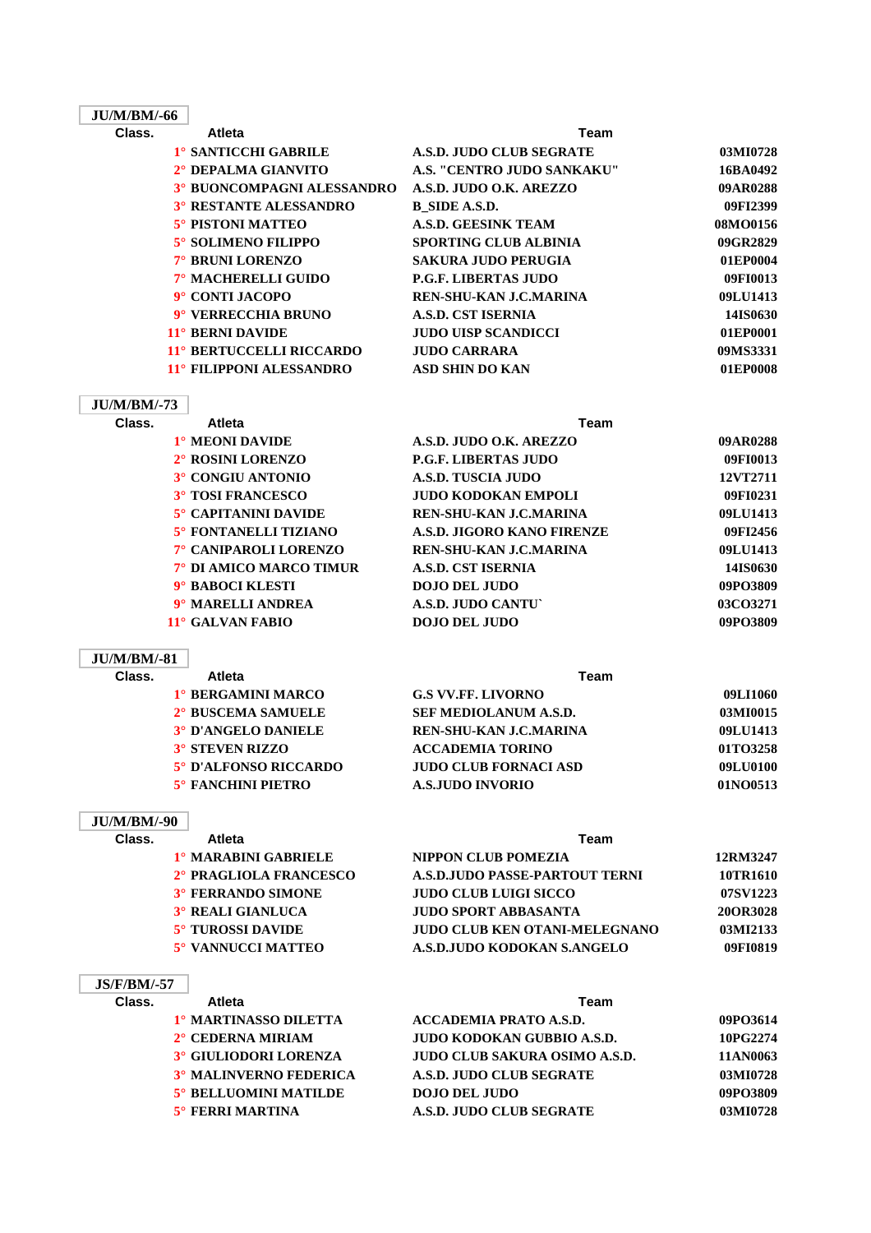### **JU/M/BM/-66**

| Class. | <b>Atleta</b>                     | <b>Team</b>                     |          |
|--------|-----------------------------------|---------------------------------|----------|
|        | <sup>1</sup> ° SANTICCHI GABRILE  | <b>A.S.D. JUDO CLUB SEGRATE</b> | 03MI0728 |
|        | 2° DEPALMA GIANVITO               | A.S. "CENTRO JUDO SANKAKU"      | 16BA0492 |
|        | <b>3° BUONCOMPAGNI ALESSANDRO</b> | A.S.D. JUDO O.K. AREZZO         | 09AR0288 |
|        | <b>3° RESTANTE ALESSANDRO</b>     | B SIDE A.S.D.                   | 09FI2399 |
|        | 5° PISTONI MATTEO                 | <b>A.S.D. GEESINK TEAM</b>      | 08MO0156 |
|        | 5° SOLIMENO FILIPPO               | <b>SPORTING CLUB ALBINIA</b>    | 09GR2829 |
|        | 7° BRUNI LORENZO                  | <b>SAKURA JUDO PERUGIA</b>      | 01EP0004 |
|        | 7° MACHERELLI GUIDO               | <b>P.G.F. LIBERTAS JUDO</b>     | 09FI0013 |
|        | 9° CONTI JACOPO                   | REN-SHU-KAN J.C.MARINA          | 09LU1413 |
|        | 9° VERRECCHIA BRUNO               | A.S.D. CST ISERNIA              | 14IS0630 |
|        | 11° BERNI DAVIDE                  | <b>JUDO UISP SCANDICCI</b>      | 01EP0001 |
|        | 11° BERTUCCELLI RICCARDO          | <b>JUDO CARRARA</b>             | 09MS3331 |
|        | 11° FILIPPONI ALESSANDRO          | <b>ASD SHIN DO KAN</b>          | 01EP0008 |
|        |                                   |                                 |          |

### **JU/M/BM/-73**

| Class. | <b>Atleta</b>               | Team                          |          |
|--------|-----------------------------|-------------------------------|----------|
|        | <sup>1</sup> ° MEONI DAVIDE | A.S.D. JUDO O.K. AREZZO       | 09AR0288 |
|        | 2° ROSINI LORENZO           | <b>P.G.F. LIBERTAS JUDO</b>   | 09FI0013 |
|        | 3° CONGIU ANTONIO           | A.S.D. TUSCIA JUDO            | 12VT2711 |
|        | <b>3° TOSI FRANCESCO</b>    | <b>JUDO KODOKAN EMPOLI</b>    | 09FI0231 |
|        | <b>5° CAPITANINI DAVIDE</b> | <b>REN-SHU-KAN J.C.MARINA</b> | 09LU1413 |
|        | 5° FONTANELLI TIZIANO       | A.S.D. JIGORO KANO FIRENZE    | 09FI2456 |
|        | 7° CANIPAROLI LORENZO       | REN-SHU-KAN J.C.MARINA        | 09LU1413 |
|        | 7° DI AMICO MARCO TIMUR     | A.S.D. CST ISERNIA            | 14IS0630 |
|        | 9° BABOCI KLESTI            | <b>DOJO DEL JUDO</b>          | 09PO3809 |
|        | 9° MARELLI ANDREA           | A.S.D. JUDO CANTU             | 03CO3271 |
|        | 11° GALVAN FABIO            | <b>DOJO DEL JUDO</b>          | 09PO3809 |

### **JU/M/BM/-81**

| Atleta                    | Team                         |          |
|---------------------------|------------------------------|----------|
| 1° BERGAMINI MARCO        | <b>G.S VV.FF. LIVORNO</b>    | 09LI1060 |
| 2° BUSCEMA SAMUELE        | <b>SEF MEDIOLANUM A.S.D.</b> | 03MI0015 |
| 3° D'ANGELO DANIELE       | REN-SHU-KAN J.C.MARINA       | 09LU1413 |
| <b>3° STEVEN RIZZO</b>    | <b>ACCADEMIA TORINO</b>      | 01TO3258 |
| 5° D'ALFONSO RICCARDO     | <b>JUDO CLUB FORNACI ASD</b> | 09LU0100 |
| <b>5° FANCHINI PIETRO</b> | <b>A.S.JUDO INVORIO</b>      | 01NO0513 |
|                           |                              |          |

#### **JU/M/BM/-90**

| Class. | <b>Atleta</b><br>Team     |                                      |          |
|--------|---------------------------|--------------------------------------|----------|
|        | 1º MARABINI GABRIELE      | NIPPON CLUB POMEZIA                  | 12RM3247 |
|        | 2° PRAGLIOLA FRANCESCO    | A.S.D. JUDO PASSE-PARTOUT TERNI      | 10TR1610 |
|        | <b>3° FERRANDO SIMONE</b> | <b>JUDO CLUB LUIGI SICCO</b>         | 07SV1223 |
|        | 3° REALI GIANLUCA         | <b>JUDO SPORT ABBASANTA</b>          | 20OR3028 |
|        | <b>5° TUROSSI DAVIDE</b>  | <b>JUDO CLUB KEN OTANI-MELEGNANO</b> | 03MI2133 |
|        | 5° VANNUCCI MATTEO        | A.S.D.JUDO KODOKAN S.ANGELO          | 09FI0819 |

### **JS/F/BM/-57**

| Class. | <b>Atleta</b>                 | Team                                 |          |
|--------|-------------------------------|--------------------------------------|----------|
|        | 1º MARTINASSO DILETTA         | <b>ACCADEMIA PRATO A.S.D.</b>        | 09PO3614 |
|        | $2^\circ$ CEDERNA MIRIAM      | JUDO KODOKAN GUBBIO A.S.D.           | 10PG2274 |
|        | <b>3° GIULIODORI LORENZA</b>  | <b>JUDO CLUB SAKURA OSIMO A.S.D.</b> | 11AN0063 |
|        | <b>3º MALINVERNO FEDERICA</b> | A.S.D. JUDO CLUB SEGRATE             | 03MI0728 |
|        | <b>5° BELLUOMINI MATILDE</b>  | <b>DOJO DEL JUDO</b>                 | 09PO3809 |
|        | $5^\circ$ FERRI MARTINA       | A.S.D. JUDO CLUB SEGRATE             | 03MI0728 |
|        |                               |                                      |          |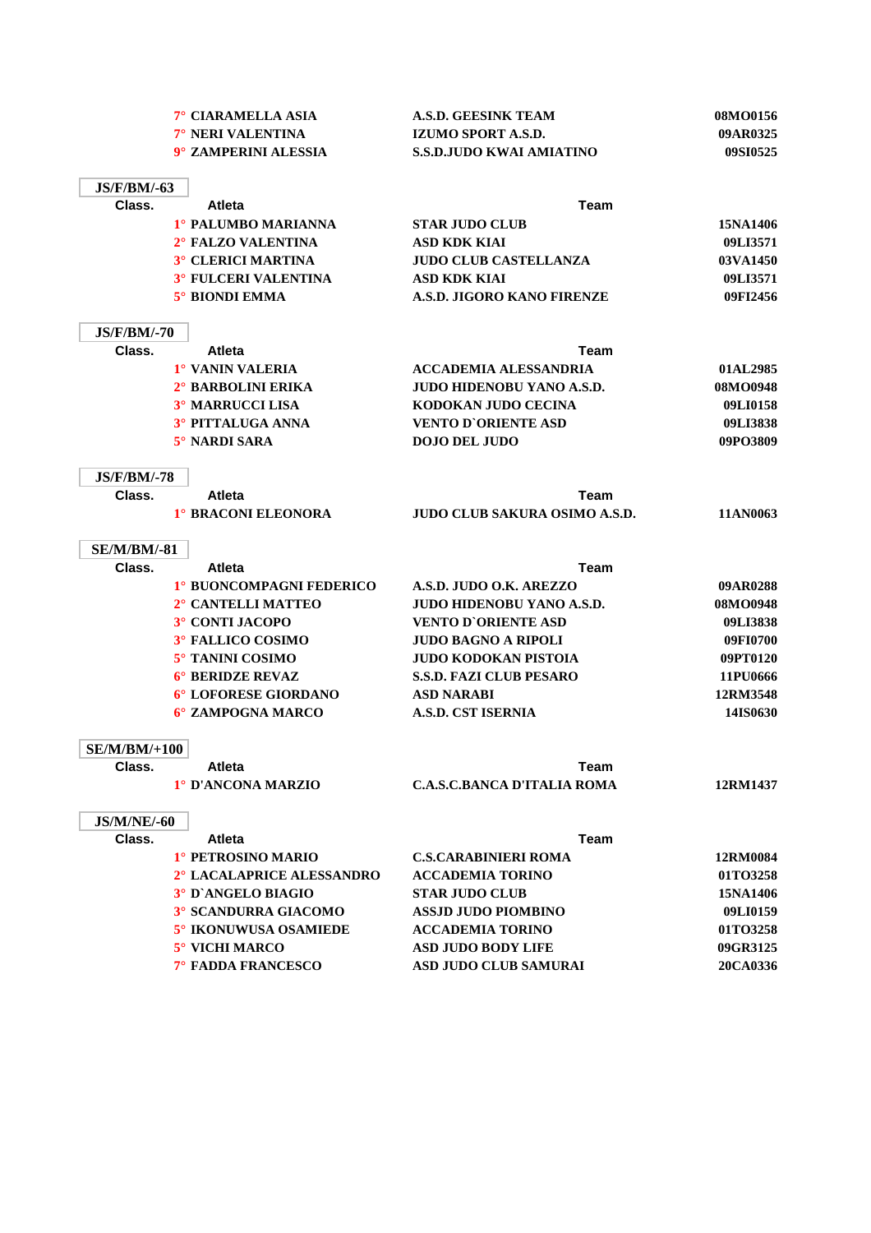|                     | 7° CIARAMELLA ASIA          | <b>A.S.D. GEESINK TEAM</b>           | 08MO0156 |
|---------------------|-----------------------------|--------------------------------------|----------|
|                     | 7° NERI VALENTINA           | <b>IZUMO SPORT A.S.D.</b>            | 09AR0325 |
|                     | 9° ZAMPERINI ALESSIA        | <b>S.S.D.JUDO KWAI AMIATINO</b>      | 09SI0525 |
|                     |                             |                                      |          |
| <b>JS/F/BM/-63</b>  |                             |                                      |          |
| Class.              | <b>Atleta</b>               | Team                                 |          |
|                     | 1° PALUMBO MARIANNA         | <b>STAR JUDO CLUB</b>                | 15NA1406 |
|                     | 2° FALZO VALENTINA          | <b>ASD KDK KIAI</b>                  | 09LI3571 |
|                     | 3° CLERICI MARTINA          | <b>JUDO CLUB CASTELLANZA</b>         | 03VA1450 |
|                     | <b>3° FULCERI VALENTINA</b> | <b>ASD KDK KIAI</b>                  | 09LI3571 |
|                     | 5° BIONDI EMMA              | A.S.D. JIGORO KANO FIRENZE           | 09FI2456 |
|                     |                             |                                      |          |
| <b>JS/F/BM/-70</b>  |                             |                                      |          |
| Class.              | <b>Atleta</b>               | Team                                 |          |
|                     | 1° VANIN VALERIA            | <b>ACCADEMIA ALESSANDRIA</b>         | 01AL2985 |
|                     | 2° BARBOLINI ERIKA          | <b>JUDO HIDENOBU YANO A.S.D.</b>     | 08MO0948 |
|                     | <b>3º MARRUCCI LISA</b>     | KODOKAN JUDO CECINA                  | 09LI0158 |
|                     | 3° PITTALUGA ANNA           | <b>VENTO D'ORIENTE ASD</b>           | 09LI3838 |
|                     | $5^\circ$ NARDI SARA        | <b>DOJO DEL JUDO</b>                 | 09PO3809 |
|                     |                             |                                      |          |
| <b>JS/F/BM/-78</b>  |                             |                                      |          |
| Class.              | <b>Atleta</b>               | Team                                 |          |
|                     | 1° BRACONI ELEONORA         | <b>JUDO CLUB SAKURA OSIMO A.S.D.</b> | 11AN0063 |
|                     |                             |                                      |          |
| <b>SE/M/BM/-81</b>  |                             |                                      |          |
| Class.              | <b>Atleta</b>               | Team                                 |          |
|                     | 1° BUONCOMPAGNI FEDERICO    | A.S.D. JUDO O.K. AREZZO              | 09AR0288 |
|                     | 2° CANTELLI MATTEO          | <b>JUDO HIDENOBU YANO A.S.D.</b>     | 08MO0948 |
|                     | 3° CONTI JACOPO             | <b>VENTO D'ORIENTE ASD</b>           | 09LI3838 |
|                     | 3° FALLICO COSIMO           | <b>JUDO BAGNO A RIPOLI</b>           | 09FI0700 |
|                     | 5° TANINI COSIMO            | <b>JUDO KODOKAN PISTOIA</b>          | 09PT0120 |
|                     | <b>6° BERIDZE REVAZ</b>     |                                      |          |
|                     |                             | <b>S.S.D. FAZI CLUB PESARO</b>       | 11PU0666 |
|                     | 6° LOFORESE GIORDANO        | <b>ASD NARABI</b>                    | 12RM3548 |
|                     | 6° ZAMPOGNA MARCO           | <b>A.S.D. CST ISERNIA</b>            | 14IS0630 |
|                     |                             |                                      |          |
| <b>SE/M/BM/+100</b> |                             |                                      |          |
| Class.              | <b>Atleta</b>               | Team                                 |          |
|                     | 1° D'ANCONA MARZIO          | <b>C.A.S.C.BANCA D'ITALIA ROMA</b>   | 12RM1437 |
|                     |                             |                                      |          |
| <b>JS/M/NE/-60</b>  |                             |                                      |          |
| Class.              | Atleta                      | Team                                 |          |
|                     | 1° PETROSINO MARIO          | <b>C.S.CARABINIERI ROMA</b>          | 12RM0084 |
|                     | 2° LACALAPRICE ALESSANDRO   | <b>ACCADEMIA TORINO</b>              | 01TO3258 |
|                     | 3° D'ANGELO BIAGIO          | <b>STAR JUDO CLUB</b>                | 15NA1406 |
|                     | 3° SCANDURRA GIACOMO        | <b>ASSJD JUDO PIOMBINO</b>           | 09LI0159 |
|                     | 5° IKONUWUSA OSAMIEDE       | <b>ACCADEMIA TORINO</b>              | 01TO3258 |
|                     | 5° VICHI MARCO              | <b>ASD JUDO BODY LIFE</b>            | 09GR3125 |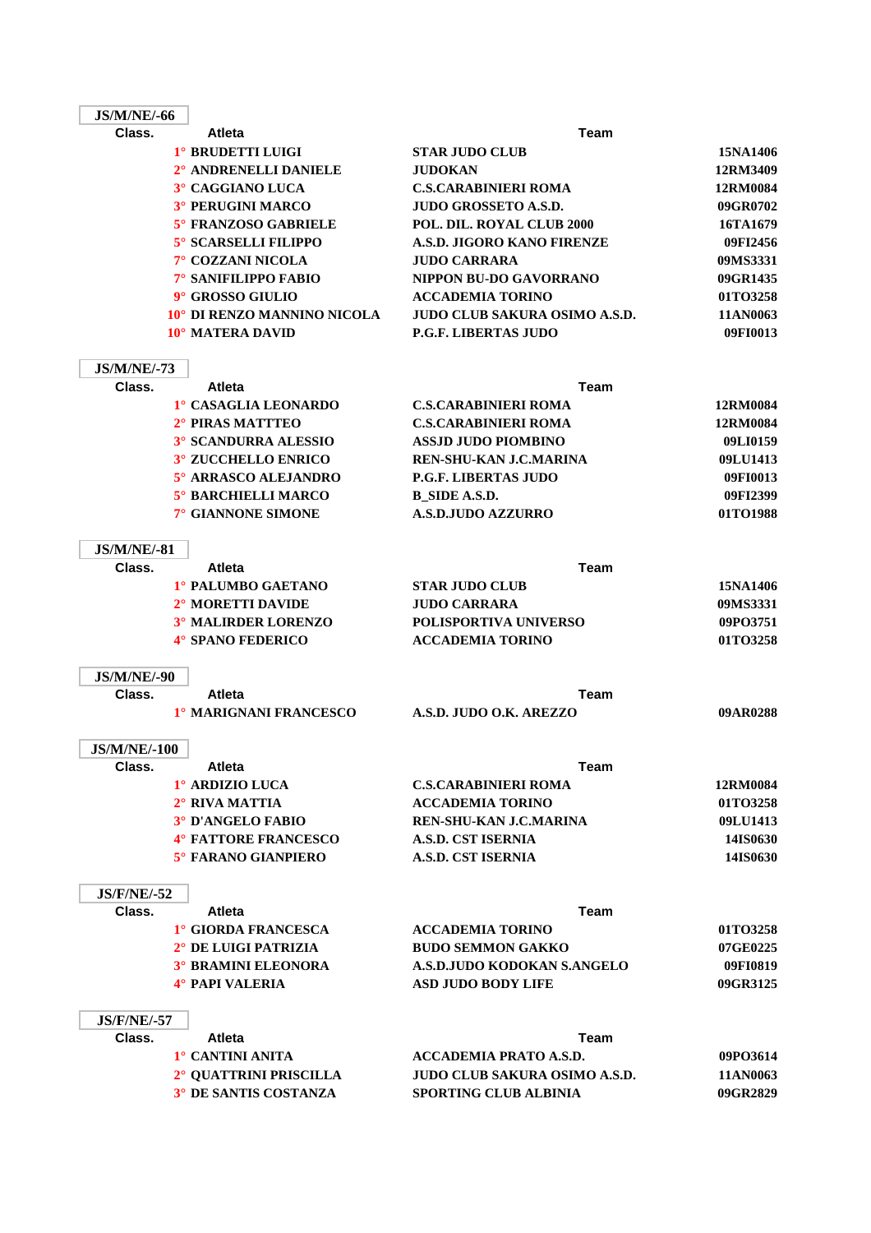| <b>JS/M/NE/-66</b>           |                             |                                      |          |
|------------------------------|-----------------------------|--------------------------------------|----------|
| Class.                       | <b>Atleta</b>               | Team                                 |          |
|                              | 1° BRUDETTI LUIGI           | <b>STAR JUDO CLUB</b>                | 15NA1406 |
|                              | 2° ANDRENELLI DANIELE       | JUDOKAN                              | 12RM3409 |
|                              | 3° CAGGIANO LUCA            | <b>C.S.CARABINIERI ROMA</b>          | 12RM0084 |
|                              | <b>3° PERUGINI MARCO</b>    | <b>JUDO GROSSETO A.S.D.</b>          | 09GR0702 |
|                              | <b>5° FRANZOSO GABRIELE</b> | POL. DIL. ROYAL CLUB 2000            | 16TA1679 |
|                              | 5° SCARSELLI FILIPPO        | A.S.D. JIGORO KANO FIRENZE           | 09FI2456 |
|                              | 7° COZZANI NICOLA           | <b>JUDO CARRARA</b>                  | 09MS3331 |
|                              | 7° SANIFILIPPO FABIO        | NIPPON BU-DO GAVORRANO               | 09GR1435 |
|                              | 9° GROSSO GIULIO            | <b>ACCADEMIA TORINO</b>              | 01TO3258 |
|                              | 10° DI RENZO MANNINO NICOLA | JUDO CLUB SAKURA OSIMO A.S.D.        | 11AN0063 |
|                              | 10° MATERA DAVID            | <b>P.G.F. LIBERTAS JUDO</b>          | 09FI0013 |
| <b>JS/M/NE/-73</b>           |                             |                                      |          |
| Class.                       | <b>Atleta</b>               | <b>Team</b>                          |          |
|                              | 1° CASAGLIA LEONARDO        | <b>C.S.CARABINIERI ROMA</b>          | 12RM0084 |
|                              | 2° PIRAS MATTTEO            | <b>C.S.CARABINIERI ROMA</b>          | 12RM0084 |
|                              | <b>3° SCANDURRA ALESSIO</b> | <b>ASSJD JUDO PIOMBINO</b>           | 09LI0159 |
|                              | <b>3° ZUCCHELLO ENRICO</b>  | <b>REN-SHU-KAN J.C.MARINA</b>        | 09LU1413 |
|                              | 5° ARRASCO ALEJANDRO        | <b>P.G.F. LIBERTAS JUDO</b>          | 09FI0013 |
|                              | 5° BARCHIELLI MARCO         | <b>B_SIDE A.S.D.</b>                 | 09FI2399 |
|                              | 7° GIANNONE SIMONE          | <b>A.S.D.JUDO AZZURRO</b>            | 01TO1988 |
| <b>JS/M/NE/-81</b>           |                             |                                      |          |
| Class.                       | <b>Atleta</b>               | Team                                 |          |
|                              | 1° PALUMBO GAETANO          | <b>STAR JUDO CLUB</b>                | 15NA1406 |
|                              | 2° MORETTI DAVIDE           | <b>JUDO CARRARA</b>                  | 09MS3331 |
|                              | 3° MALIRDER LORENZO         | <b>POLISPORTIVA UNIVERSO</b>         | 09PO3751 |
|                              | <b>4° SPANO FEDERICO</b>    | <b>ACCADEMIA TORINO</b>              | 01TO3258 |
|                              |                             |                                      |          |
| <b>JS/M/NE/-90</b><br>Class. | <b>Atleta</b>               | Team                                 |          |
|                              | 1º MARIGNANI FRANCESCO      | A.S.D. JUDO O.K. AREZZO              | 09AR0288 |
|                              |                             |                                      |          |
| <b>JS/M/NE/-100</b>          |                             |                                      |          |
| Class.                       | Atleta                      | <b>Team</b>                          |          |
|                              | 1º ARDIZIO LUCA             | <b>C.S.CARABINIERI ROMA</b>          | 12RM0084 |
|                              | $2^\circ$ RIVA MATTIA       | <b>ACCADEMIA TORINO</b>              | 01TO3258 |
|                              | <b>3° D'ANGELO FABIO</b>    | <b>REN-SHU-KAN J.C.MARINA</b>        | 09LU1413 |
|                              | <b>4° FATTORE FRANCESCO</b> | <b>A.S.D. CST ISERNIA</b>            | 14IS0630 |
|                              | 5° FARANO GIANPIERO         | <b>A.S.D. CST ISERNIA</b>            | 14IS0630 |
| <b>JS/F/NE/-52</b>           |                             |                                      |          |
| Class.                       | <b>Atleta</b>               | <b>Team</b>                          |          |
|                              | 1° GIORDA FRANCESCA         | <b>ACCADEMIA TORINO</b>              | 01TO3258 |
|                              | 2° DE LUIGI PATRIZIA        | <b>BUDO SEMMON GAKKO</b>             | 07GE0225 |
|                              | <b>3° BRAMINI ELEONORA</b>  | A.S.D.JUDO KODOKAN S.ANGELO          | 09FI0819 |
|                              | 4° PAPI VALERIA             | <b>ASD JUDO BODY LIFE</b>            | 09GR3125 |
| <b>JS/F/NE/-57</b>           |                             |                                      |          |
| Class.                       | <b>Atleta</b>               | Team                                 |          |
|                              | 1° CANTINI ANITA            | <b>ACCADEMIA PRATO A.S.D.</b>        | 09PO3614 |
|                              | 2° QUATTRINI PRISCILLA      | <b>JUDO CLUB SAKURA OSIMO A.S.D.</b> | 11AN0063 |
|                              | 3° DE SANTIS COSTANZA       | SPORTING CLUB ALBINIA                | 09GR2829 |